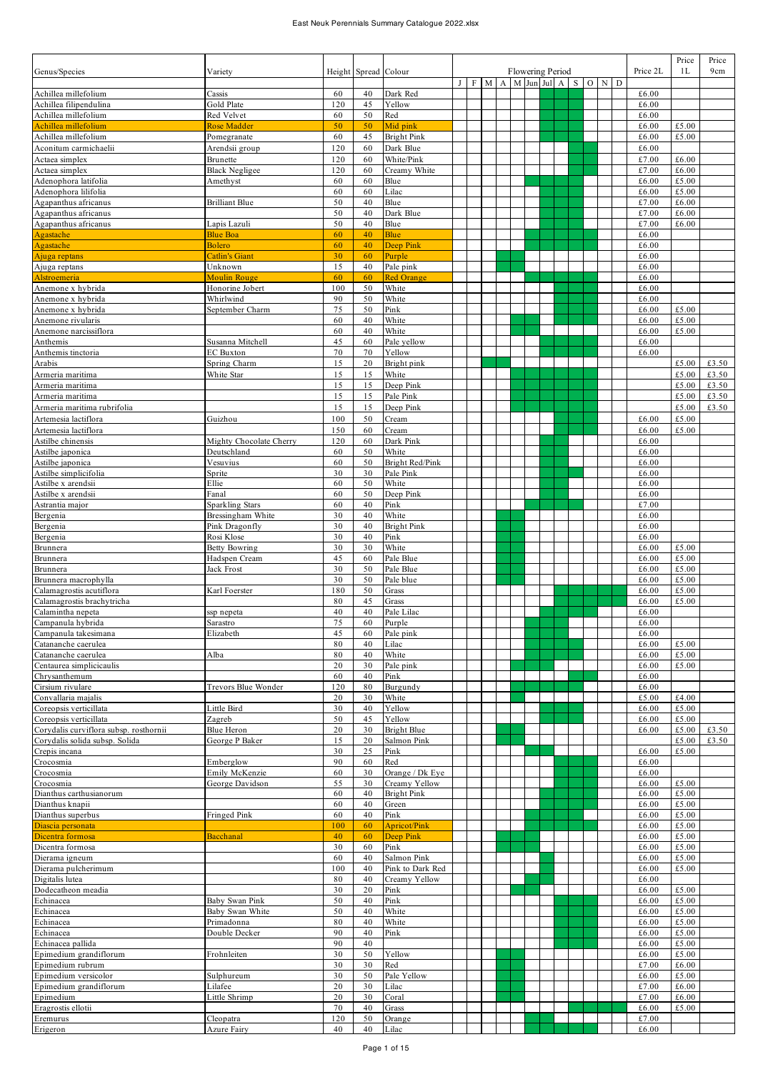## East Neuk Perennials Summary Catalogue 2022.xlsx

|                                          |                          |          |               |                     |   |             |   |              |                  |  |              |       |                  |                | Price          | Price |
|------------------------------------------|--------------------------|----------|---------------|---------------------|---|-------------|---|--------------|------------------|--|--------------|-------|------------------|----------------|----------------|-------|
| Genus/Species                            | Variety                  | Height   | Spread Colour |                     |   |             |   |              | Flowering Period |  |              |       |                  | Price 2L       | 1L             | 9cm   |
|                                          |                          |          |               |                     | J | $\mathbf F$ | M | $\mathbf{A}$ | M Jun Jul        |  | $\mathbf{A}$ | $S$ O | $\mathbf N$<br>D |                |                |       |
| Achillea millefolium                     | Cassis                   | 60       | 40            | Dark Red            |   |             |   |              |                  |  |              |       |                  | £6.00          |                |       |
| Achillea filipendulina                   | Gold Plate               | 120      | 45            | Yellow              |   |             |   |              |                  |  |              |       |                  | £6.00          |                |       |
| Achillea millefolium                     | Red Velvet               | 60       | 50            | Red                 |   |             |   |              |                  |  |              |       |                  | £6.00          |                |       |
| Achillea millefolium                     | Rose Madder              | 50       | 50            | Mid pink            |   |             |   |              |                  |  |              |       |                  | £6.00          | £5.00          |       |
| Achillea millefolium                     | Pomegranate              | 60       | 45            | <b>Bright Pink</b>  |   |             |   |              |                  |  |              |       |                  | £6.00          | £5.00          |       |
| Aconitum carmichaelii                    | Arendsii group           | 120      | 60            | Dark Blue           |   |             |   |              |                  |  |              |       |                  | £6.00          |                |       |
| Actaea simplex                           | Brunette                 | 120      | 60            | White/Pink          |   |             |   |              |                  |  |              |       |                  | £7.00          | £6.00          |       |
| Actaea simplex                           | <b>Black Negligee</b>    | 120      | 60            | Creamy White        |   |             |   |              |                  |  |              |       |                  | £7.00          | £6.00          |       |
| Adenophora latifolia                     | Amethyst                 | 60       | 60            | Blue                |   |             |   |              |                  |  |              |       |                  | £6.00          | £5.00          |       |
| Adenophora lilifolia                     |                          | 60       | 60            | Lilac               |   |             |   |              |                  |  |              |       |                  | £6.00          | £5.00          |       |
| Agapanthus africanus                     | Brilliant Blue           | 50       | 40            | Blue                |   |             |   |              |                  |  |              |       |                  | £7.00          | £6.00          |       |
| Agapanthus africanus                     |                          | 50       | 40            | Dark Blue           |   |             |   |              |                  |  |              |       |                  | £7.00          | £6.00          |       |
| Agapanthus africanus                     | Lapis Lazuli             | 50       | 40            | Blue                |   |             |   |              |                  |  |              |       |                  | £7.00          | £6.00          |       |
| Agastache                                | <b>Blue Boa</b>          | 60       | 40            | Blue                |   |             |   |              |                  |  |              |       |                  | £6.00          |                |       |
| Agastache                                | Bolero                   | 60       | 40            | <b>Deep Pink</b>    |   |             |   |              |                  |  |              |       |                  | £6.00          |                |       |
| Ajuga reptans                            | Catlin's Giant           | 30       | 60            | Purple              |   |             |   |              |                  |  |              |       |                  | £6.00          |                |       |
| Ajuga reptans                            | Unknown                  | 15       | 40            | Pale pink           |   |             |   |              |                  |  |              |       |                  | £6.00          |                |       |
| Alstroemeria                             | <b>Moulin Rouge</b>      | 60       | 60            | <b>Red Orange</b>   |   |             |   |              |                  |  |              |       |                  | £6.00          |                |       |
| Anemone x hybrida                        | Honorine Jobert          | 100      | 50            | White               |   |             |   |              |                  |  |              |       |                  | £6.00          |                |       |
| Anemone x hybrida                        | Whirlwind                | 90       | 50            | White               |   |             |   |              |                  |  |              |       |                  | £6.00          |                |       |
| Anemone x hybrida                        | September Charm          | 75       | 50            | Pink                |   |             |   |              |                  |  |              |       |                  | £6.00          | £5.00          |       |
| Anemone rivularis                        |                          | 60       | 40            | White               |   |             |   |              |                  |  |              |       |                  | £6.00          | £5.00          |       |
| Anemone narcissiflora                    |                          | 60       | 40            | White               |   |             |   |              |                  |  |              |       |                  | £6.00          | £5.00          |       |
| Anthemis                                 | Susanna Mitchell         | 45       | 60            | Pale yellow         |   |             |   |              |                  |  |              |       |                  | £6.00          |                |       |
| Anthemis tinctoria                       | <b>EC</b> Buxton         | 70       | 70            | Yellow              |   |             |   |              |                  |  |              |       |                  | £6.00          |                |       |
| Arabis                                   | Spring Charm             | 15       | 20            | Bright pink         |   |             |   |              |                  |  |              |       |                  |                | £5.00          | £3.50 |
| Armeria maritima                         | White Star               | 15       | 15            | White               |   |             |   |              |                  |  |              |       |                  |                | £5.00          | £3.50 |
| Armeria maritima                         |                          | 15       | 15            | Deep Pink           |   |             |   |              |                  |  |              |       |                  |                | £5.00          | £3.50 |
| Armeria maritima                         |                          | 15       | 15            | Pale Pink           |   |             |   |              |                  |  |              |       |                  |                | £5.00          | £3.50 |
| Armeria maritima rubrifolia              |                          | 15       | 15            | Deep Pink           |   |             |   |              |                  |  |              |       |                  |                | £5.00          | £3.50 |
| Artemesia lactiflora                     | Guizhou                  | 100      | 50            | Cream               |   |             |   |              |                  |  |              |       |                  | £6.00          | £5.00          |       |
| Artemesia lactiflora                     |                          | 150      | 60            | Cream               |   |             |   |              |                  |  |              |       |                  | £6.00          | £5.00          |       |
| Astilbe chinensis                        | Mighty Chocolate Cherry  | 120      | 60            | Dark Pink           |   |             |   |              |                  |  |              |       |                  | £6.00          |                |       |
| Astilbe japonica                         | Deutschland              | 60       | 50            | White               |   |             |   |              |                  |  |              |       |                  | £6.00          |                |       |
| Astilbe japonica                         | Vesuvius                 | 60       | 50            | Bright Red/Pink     |   |             |   |              |                  |  |              |       |                  | £6.00          |                |       |
| Astilbe simplicifolia                    | Sprite                   | 30       | 30            | Pale Pink           |   |             |   |              |                  |  |              |       |                  | £6.00          |                |       |
| Astilbe x arendsii                       | Ellie                    | 60       | 50            | White               |   |             |   |              |                  |  |              |       |                  | £6.00          |                |       |
| Astilbe x arendsii                       | Fanal                    | 60       | 50            | Deep Pink           |   |             |   |              |                  |  |              |       |                  | £6.00          |                |       |
| Astrantia major                          | <b>Sparkling Stars</b>   | 60       | 40            | Pink                |   |             |   |              |                  |  |              |       |                  | £7.00          |                |       |
| Bergenia                                 | Bressingham White        | 30       | 40            | White               |   |             |   |              |                  |  |              |       |                  | £6.00          |                |       |
| Bergenia                                 | Pink Dragonfly           | 30       | 40            | <b>Bright Pink</b>  |   |             |   |              |                  |  |              |       |                  | £6.00          |                |       |
| Bergenia                                 | Rosi Klose               | 30       | 40            | Pink                |   |             |   |              |                  |  |              |       |                  | £6.00          |                |       |
| Brunnera                                 | Betty Bowring            | 30       | 30            | White               |   |             |   |              |                  |  |              |       |                  | £6.00          | £5.00          |       |
| Brunnera                                 | Hadspen Cream            | 45       | 60            | Pale Blue           |   |             |   |              |                  |  |              |       |                  | £6.00          | £5.00          |       |
| Brunnera                                 | Jack Frost               | 30       | 50            | Pale Blue           |   |             |   |              |                  |  |              |       |                  | £6.00          | £5.00          |       |
| Brunnera macrophylla                     |                          | 30       | 50            | Pale blue           |   |             |   |              |                  |  |              |       |                  | £6.00          | £5.00          |       |
| Calamagrostis acutiflora                 | Karl Foerster            | 180      | 50            | Grass               |   |             |   |              |                  |  |              |       |                  | £6.00          | £5.00          |       |
| Calamagrostis brachytricha               |                          | 80       | 45            | Grass               |   |             |   |              |                  |  |              |       |                  | £6.00          | £5.00          |       |
| Calamintha nepeta                        | ssp nepeta               | 40       | 40            | Pale Lilac          |   |             |   |              |                  |  |              |       |                  | £6.00          |                |       |
| Campanula hybrida                        | Sarastro                 | 75       | 60            | Purple              |   |             |   |              |                  |  |              |       |                  | £6.00          |                |       |
| Campanula takesimana                     | Elizabeth                | 45       | 60            | Pale pink           |   |             |   |              |                  |  |              |       |                  | £6.00          |                |       |
| Catananche caerulea                      |                          | 80       | 40            | Lilac               |   |             |   |              |                  |  |              |       |                  | £6.00          | £5.00          |       |
| Catananche caerulea                      | Alba                     | 80       | 40            | White               |   |             |   |              |                  |  |              |       |                  | £6.00          | £5.00          |       |
| Centaurea simplicicaulis                 |                          | 20       | 30            | Pale pink           |   |             |   |              |                  |  |              |       |                  | £6.00          | £5.00          |       |
| Chrysanthemum                            |                          | 60       | 40            | Pink                |   |             |   |              |                  |  |              |       |                  | £6.00          |                |       |
| Cirsium rivulare                         | Trevors Blue Wonder      | 120      | 80            | Burgundy            |   |             |   |              |                  |  |              |       |                  | £6.00          |                |       |
| Convallaria majalis                      |                          | 20       | 30            | White               |   |             |   |              |                  |  |              |       |                  | £5.00          | £4.00          |       |
| Coreopsis verticillata                   | Little Bird              | 30       | 40            | Yellow              |   |             |   |              |                  |  |              |       |                  | £6.00          | £5.00          |       |
| Coreopsis verticillata                   | Zagreb                   | 50       | 45            | Yellow              |   |             |   |              |                  |  |              |       |                  | £6.00          | £5.00          |       |
| Corydalis curviflora subsp. rosthornii   | Blue Heron               | 20       | 30            | Bright Blue         |   |             |   |              |                  |  |              |       |                  | £6.00          | £5.00          | £3.50 |
| Corydalis solida subsp. Solida           | George P Baker           | 15       | 20            | Salmon Pink         |   |             |   |              |                  |  |              |       |                  |                | £5.00          | £3.50 |
| Crepis incana                            |                          | 30       | 25            | Pink                |   |             |   |              |                  |  |              |       |                  | £6.00          | £5.00          |       |
| Crocosmia                                | Emberglow                | 90       | 60            | Red                 |   |             |   |              |                  |  |              |       |                  | £6.00          |                |       |
| Crocosmia                                | Emily McKenzie           | 60       | 30            | Orange / Dk Eye     |   |             |   |              |                  |  |              |       |                  | £6.00          |                |       |
| Crocosmia                                | George Davidson          | 55       | 30            | Creamy Yellow       |   |             |   |              |                  |  |              |       |                  | £6.00          | £5.00          |       |
| Dianthus carthusianorum                  |                          | 60       | 40            | <b>Bright Pink</b>  |   |             |   |              |                  |  |              |       |                  | £6.00          | £5.00          |       |
| Dianthus knapii                          |                          | 60       | 40            | Green               |   |             |   |              |                  |  |              |       |                  | £6.00          | £5.00          |       |
| Dianthus superbus                        | Fringed Pink             | 60       | 40            | Pink                |   |             |   |              |                  |  |              |       |                  | £6.00          | £5.00          |       |
| Diascia personata                        |                          | 100      | 60            | <b>Apricot/Pink</b> |   |             |   |              |                  |  |              |       |                  | £6.00          | £5.00          |       |
| Dicentra formosa                         | Bacchanal                | 40       | 60            | Deep Pink           |   |             |   |              |                  |  |              |       |                  | £6.00          | £5.00          |       |
| Dicentra formosa                         |                          | 30       | 60            | Pink                |   |             |   |              |                  |  |              |       |                  | £6.00          | £5.00          |       |
| Dierama igneum                           |                          | 60       | 40            | Salmon Pink         |   |             |   |              |                  |  |              |       |                  | £6.00          | £5.00          |       |
| Dierama pulcherimum                      |                          | 100      | 40            | Pink to Dark Red    |   |             |   |              |                  |  |              |       |                  | £6.00          | £5.00          |       |
| Digitalis lutea                          |                          | 80       | 40            | Creamy Yellow       |   |             |   |              |                  |  |              |       |                  | £6.00          |                |       |
| Dodecatheon meadia                       |                          | 30       | 20            | Pink                |   |             |   |              |                  |  |              |       |                  | £6.00          | £5.00          |       |
| Echinacea                                | Baby Swan Pink           | 50       | 40            | Pink                |   |             |   |              |                  |  |              |       |                  | £6.00          | £5.00          |       |
| Echinacea                                | Baby Swan White          | 50       | 40            | White               |   |             |   |              |                  |  |              |       |                  | £6.00          | £5.00          |       |
| Echinacea                                | Primadonna               | 80       | 40            | White               |   |             |   |              |                  |  |              |       |                  | £6.00          | £5.00          |       |
| Echinacea                                | Double Decker            | 90       | 40            | Pink                |   |             |   |              |                  |  |              |       |                  | £6.00          | £5.00          |       |
| Echinacea pallida                        |                          | 90       | 40            |                     |   |             |   |              |                  |  |              |       |                  | £6.00          | £5.00          |       |
| Epimedium grandiflorum                   | Frohnleiten              | 30       | 50            | Yellow              |   |             |   |              |                  |  |              |       |                  | £6.00          | £5.00          |       |
| Epimedium rubrum<br>Epimedium versicolor |                          | 30<br>30 | 30            | Red                 |   |             |   |              |                  |  |              |       |                  | £7.00          | £6.00          |       |
|                                          | Sulphureum               |          | 50            | Pale Yellow         |   |             |   |              |                  |  |              |       |                  | £6.00          | £5.00          |       |
| Epimedium grandiflorum                   | Lilafee<br>Little Shrimp | 20<br>20 | 30<br>30      | Lilac               |   |             |   |              |                  |  |              |       |                  | £7.00<br>£7.00 | £6.00<br>£6.00 |       |
| Epimedium<br>Eragrostis ellotii          |                          | 70       | 40            | Coral<br>Grass      |   |             |   |              |                  |  |              |       |                  | £6.00          | £5.00          |       |
| Eremurus                                 | Cleopatra                | 120      | 50            | Orange              |   |             |   |              |                  |  |              |       |                  | £7.00          |                |       |
| Erigeron                                 | Azure Fairy              | 40       | 40            | Lilac               |   |             |   |              |                  |  |              |       |                  | £6.00          |                |       |
|                                          |                          |          |               |                     |   |             |   |              |                  |  |              |       |                  |                |                |       |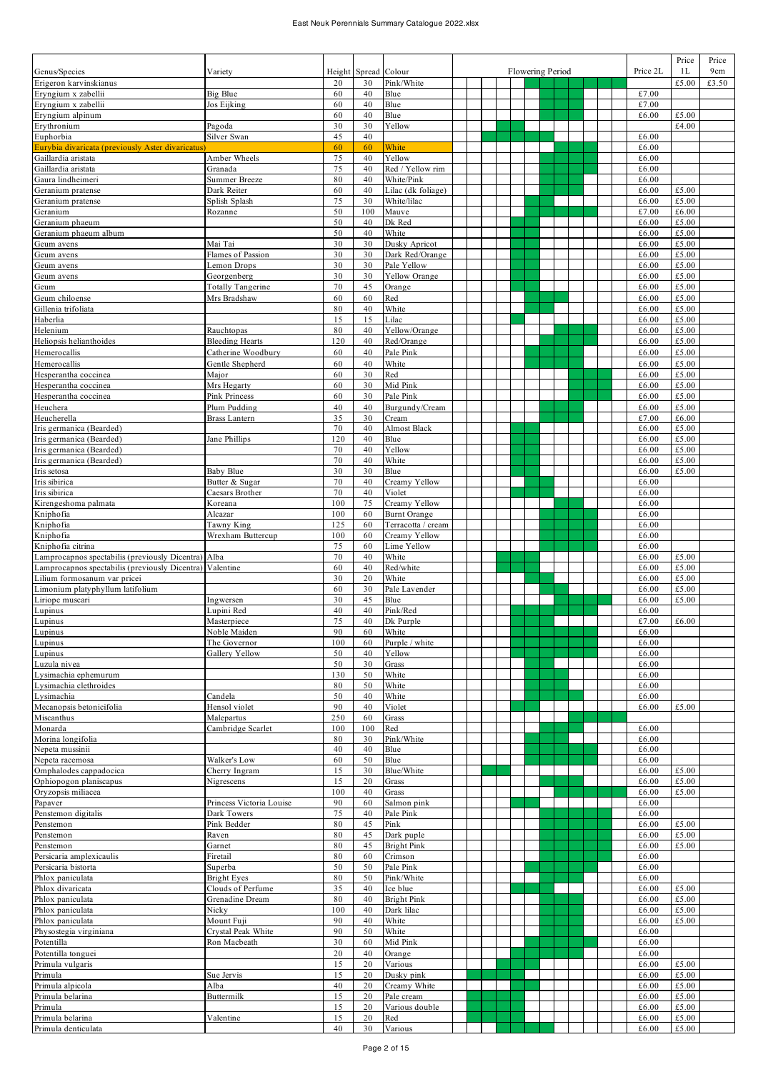|                                                                          |                          |           |          |                                  |  |                  |  |  |                | Price          | Price |
|--------------------------------------------------------------------------|--------------------------|-----------|----------|----------------------------------|--|------------------|--|--|----------------|----------------|-------|
| Genus/Species                                                            | Variety                  | Height    | Spread   | Colour                           |  | Flowering Period |  |  | Price 2L       | 1 <sub>L</sub> | 9cm   |
| Erigeron karvinskianus                                                   |                          | 20        | 30       | Pink/White                       |  |                  |  |  |                | £5.00          | £3.50 |
| Eryngium x zabellii                                                      | Big Blue                 | 60        | 40       | Blue                             |  |                  |  |  | £7.00          |                |       |
| Eryngium x zabellii                                                      | Jos Eijking              | 60        | 40       | Blue                             |  |                  |  |  | £7.00          |                |       |
| Eryngium alpinum                                                         |                          | 60        | 40       | Blue                             |  |                  |  |  | £6.00          | £5.00          |       |
| Erythronium                                                              | Pagoda                   | 30        | 30       | Yellow                           |  |                  |  |  |                | £4.00          |       |
| Euphorbia                                                                | Silver Swan              | 45<br>60  | 40<br>60 | White                            |  |                  |  |  | £6.00<br>£6.00 |                |       |
| Eurybia divaricata (previously Aster divaricatus)<br>Gaillardia aristata | Amber Wheels             | 75        | 40       | Yellow                           |  |                  |  |  | £6.00          |                |       |
| Gaillardia aristata                                                      | Granada                  | 75        | 40       | Red / Yellow rim                 |  |                  |  |  | £6.00          |                |       |
| Gaura lindheimeri                                                        | Summer Breeze            | 80        | 40       | White/Pink                       |  |                  |  |  | £6.00          |                |       |
| Geranium pratense                                                        | Dark Reiter              | 60        | 40       | Lilac (dk foliage)               |  |                  |  |  | £6.00          | £5.00          |       |
| Geranium pratense                                                        | Splish Splash            | 75        | 30       | White/lilac                      |  |                  |  |  | £6.00          | £5.00          |       |
| Geranium                                                                 | Rozanne                  | 50        | 100      | Mauve                            |  |                  |  |  | £7.00          | £6.00          |       |
| Geranium phaeum                                                          |                          | 50        | 40       | Dk Red                           |  |                  |  |  | £6.00          | £5.00          |       |
| Geranium phaeum album                                                    |                          | 50        | 40       | White                            |  |                  |  |  | £6.00          | £5.00          |       |
| Geum avens                                                               | Mai Tai                  | 30        | 30       | Dusky Apricot                    |  |                  |  |  | £6.00          | £5.00          |       |
| Geum avens                                                               | Flames of Passion        | 30        | 30       | Dark Red/Orange                  |  |                  |  |  | £6.00          | £5.00          |       |
| Geum avens                                                               | Lemon Drops              | 30        | 30       | Pale Yellow                      |  |                  |  |  | £6.00          | £5.00          |       |
| Geum avens                                                               | Georgenberg              | 30        | 30       | Yellow Orange                    |  |                  |  |  | £6.00          | £5.00          |       |
| Geum                                                                     | <b>Totally Tangerine</b> | 70        | 45       | Orange                           |  |                  |  |  | £6.00          | £5.00          |       |
| Geum chiloense                                                           | Mrs Bradshaw             | 60        | 60       | Red                              |  |                  |  |  | £6.00          | £5.00          |       |
| Gillenia trifoliata                                                      |                          | 80        | 40       | White                            |  |                  |  |  | £6.00          | £5.00          |       |
| Haberlia                                                                 |                          | 15        | 15       | Lilac                            |  |                  |  |  | £6.00          | £5.00          |       |
| Helenium                                                                 | Rauchtopas               | 80        | 40       | Yellow/Orange                    |  |                  |  |  | £6.00          | £5.00          |       |
| Heliopsis helianthoides                                                  | <b>Bleeding Hearts</b>   | 120       | 40       | Red/Orange                       |  |                  |  |  | £6.00          | £5.00          |       |
| Hemerocallis                                                             | Catherine Woodbury       | 60        | 40       | Pale Pink                        |  |                  |  |  | £6.00          | £5.00          |       |
| Hemerocallis                                                             | Gentle Shepherd          | 60        | 40       | White                            |  |                  |  |  | £6.00          | £5.00          |       |
| Hesperantha coccinea                                                     | Major                    | 60        | 30       | Red                              |  |                  |  |  | £6.00          | £5.00          |       |
| Hesperantha coccinea                                                     | Mrs Hegarty              | 60        | 30       | Mid Pink                         |  |                  |  |  | £6.00          | £5.00          |       |
| Hesperantha coccinea                                                     | <b>Pink Princess</b>     | 60        | 30       | Pale Pink                        |  |                  |  |  | £6.00          | £5.00          |       |
| Heuchera                                                                 | Plum Pudding             | 40        | 40       | Burgundy/Cream                   |  |                  |  |  | £6.00          | £5.00          |       |
| Heucherella                                                              | Brass Lantern            | 35        | 30       | Cream                            |  |                  |  |  | £7.00          | £6.00          |       |
| Iris germanica (Bearded)                                                 |                          | 70        | 40       | <b>Almost Black</b>              |  |                  |  |  | £6.00          | £5.00          |       |
| Iris germanica (Bearded)<br>Iris germanica (Bearded)                     | Jane Phillips            | 120<br>70 | 40<br>40 | Blue<br>Yellow                   |  |                  |  |  | £6.00<br>£6.00 | £5.00<br>£5.00 |       |
|                                                                          |                          | 70        | 40       | White                            |  |                  |  |  | £6.00          | £5.00          |       |
| Iris germanica (Bearded)<br>Iris setosa                                  | Baby Blue                | 30        | 30       | Blue                             |  |                  |  |  | £6.00          | £5.00          |       |
| Iris sibirica                                                            | Butter & Sugar           | 70        | 40       | Creamy Yellow                    |  |                  |  |  | £6.00          |                |       |
| Iris sibirica                                                            | Caesars Brother          | 70        | 40       | Violet                           |  |                  |  |  | £6.00          |                |       |
| Kirengeshoma palmata                                                     | Koreana                  | 100       | 75       | Creamy Yellow                    |  |                  |  |  | £6.00          |                |       |
| Kniphofia                                                                | Alcazar                  | 100       | 60       | <b>Burnt Orange</b>              |  |                  |  |  | £6.00          |                |       |
| Kniphofia                                                                | Tawny King               | 125       | 60       | Terracotta / cream               |  |                  |  |  | £6.00          |                |       |
| Kniphofia                                                                | Wrexham Buttercup        | 100       | 60       | Creamy Yellow                    |  |                  |  |  | £6.00          |                |       |
| Kniphofia citrina                                                        |                          | 75        | 60       | Lime Yellow                      |  |                  |  |  | £6.00          |                |       |
| Lamprocapnos spectabilis (previously Dicentra)                           | Alba                     | 70        | 40       | White                            |  |                  |  |  | £6.00          | £5.00          |       |
| amprocapnos spectabilis (previously Dicentra)                            | Valentine                | 60        | 40       | Red/white                        |  |                  |  |  | £6.00          | £5.00          |       |
| ilium formosanum var pricei                                              |                          | 30        | 20       | White                            |  |                  |  |  | £6.00          | £5.00          |       |
| imonium platyphyllum latifolium.                                         |                          | 60        | 30       | Pale Lavender                    |  |                  |  |  | £6.00          | £5.00          |       |
| Liriope muscari                                                          | Ingwersen                | 30        | 45       | Blue                             |  |                  |  |  | £6.00          | £5.00          |       |
| Lupinus                                                                  | Lupini Red               | 40        | 40       | Pink/Red                         |  |                  |  |  | £6.00          |                |       |
| Lupinus                                                                  | Masterniece              | 75        | 40       | Dk Purple                        |  |                  |  |  | £7.00          | £6.00          |       |
| Lupinus                                                                  | Noble Maiden             | 90        | 60       | White                            |  |                  |  |  | £6.00          |                |       |
| Lupinus                                                                  | The Governor             | 100       | 60       | Purple / white                   |  |                  |  |  | £6.00          |                |       |
| Lupinus                                                                  | Gallery Yellow           | 50<br>50  | 40<br>30 | Yellow                           |  |                  |  |  | £6.00<br>£6.00 |                |       |
| Luzula nivea<br>Lysimachia ephemurum                                     |                          | 130       | 50       | Grass<br>White                   |  |                  |  |  | £6.00          |                |       |
| Lysimachia clethroides                                                   |                          | 80        | 50       | White                            |  |                  |  |  | £6.00          |                |       |
| Lysimachia                                                               | Candela                  | 50        | 40       | White                            |  |                  |  |  | £6.00          |                |       |
| Mecanopsis betonicifolia                                                 | Hensol violet            | 90        | 40       | Violet                           |  |                  |  |  | £6.00          | £5.00          |       |
| Miscanthus                                                               | Malepartus               | 250       | 60       | Grass                            |  |                  |  |  |                |                |       |
| Monarda                                                                  | Cambridge Scarlet        | 100       | 100      | Red                              |  |                  |  |  | £6.00          |                |       |
| Morina longifolia                                                        |                          | 80        | 30       | Pink/White                       |  |                  |  |  | £6.00          |                |       |
| Nepeta mussinii                                                          |                          | 40        | 40       | Blue                             |  |                  |  |  | £6.00          |                |       |
| Nepeta racemosa                                                          | Walker's Low             | 60        | 50       | Blue                             |  |                  |  |  | £6.00          |                |       |
| Omphalodes cappadocica                                                   | Cherry Ingram            | 15        | 30       | Blue/White                       |  |                  |  |  | £6.00          | £5.00          |       |
| Ophiopogon planiscapus                                                   | Nigrescens               | 15        | 20       | Grass                            |  |                  |  |  | £6.00          | £5.00          |       |
| Oryzopsis miliacea                                                       |                          | 100       | 40       | Grass                            |  |                  |  |  | £6.00          | £5.00          |       |
| Papaver                                                                  | Princess Victoria Louise | 90        | 60       | Salmon pink                      |  |                  |  |  | £6.00          |                |       |
| Penstemon digitalis                                                      | Dark Towers              | 75        | 40       | Pale Pink                        |  |                  |  |  | £6.00          |                |       |
| Penstemon                                                                | Pink Bedder              | 80        | 45       | Pink                             |  |                  |  |  | £6.00          | £5.00          |       |
| Penstemon<br>Penstemon                                                   | Raven<br>Garnet          | 80<br>80  | 45<br>45 | Dark puple<br><b>Bright Pink</b> |  |                  |  |  | £6.00<br>£6.00 | £5.00<br>£5.00 |       |
| Persicaria amplexicaulis                                                 | Firetail                 | 80        | 60       | Crimson                          |  |                  |  |  | £6.00          |                |       |
| Persicaria bistorta                                                      | Superba                  | 50        | 50       | Pale Pink                        |  |                  |  |  | £6.00          |                |       |
| Phlox paniculata                                                         | <b>Bright Eyes</b>       | 80        | 50       | Pink/White                       |  |                  |  |  | £6.00          |                |       |
| Phlox divaricata                                                         | Clouds of Perfume        | 35        | 40       | Ice blue                         |  |                  |  |  | £6.00          | £5.00          |       |
| Phlox paniculata                                                         | Grenadine Dream          | 80        | 40       | <b>Bright Pink</b>               |  |                  |  |  | £6.00          | £5.00          |       |
| Phlox paniculata                                                         | Nicky                    | 100       | 40       | Dark lilac                       |  |                  |  |  | £6.00          | £5.00          |       |
| Phlox paniculata                                                         | Mount Fuji               | 90        | 40       | White                            |  |                  |  |  | £6.00          | £5.00          |       |
| Physostegia virginiana                                                   | Crystal Peak White       | 90        | 50       | White                            |  |                  |  |  | £6.00          |                |       |
| Potentilla                                                               | Ron Macbeath             | 30        | 60       | Mid Pink                         |  |                  |  |  | £6.00          |                |       |
| Potentilla tonguei                                                       |                          | 20        | 40       | Orange                           |  |                  |  |  | £6.00          |                |       |
| Primula vulgaris                                                         |                          | 15        | 20       | Various                          |  |                  |  |  | £6.00          | £5.00          |       |
| Primula                                                                  | Sue Jervis               | 15        | 20       | Dusky pink                       |  |                  |  |  | £6.00          | £5.00          |       |
| Primula alpicola                                                         | Alba                     | 40        | 20       | Creamy White                     |  |                  |  |  | £6.00          | £5.00          |       |
| Primula belarina                                                         | Buttermilk               | 15        | 20       | Pale cream                       |  |                  |  |  | £6.00          | £5.00          |       |
| Primula                                                                  |                          | 15        | 20       | Various double                   |  |                  |  |  | £6.00          | £5.00          |       |
| Primula belarina                                                         | Valentine                | 15        | 20       | Red                              |  |                  |  |  | £6.00          | £5.00          |       |
| Primula denticulata                                                      |                          | 40        | 30       | Various                          |  |                  |  |  | £6.00          | £5.00          |       |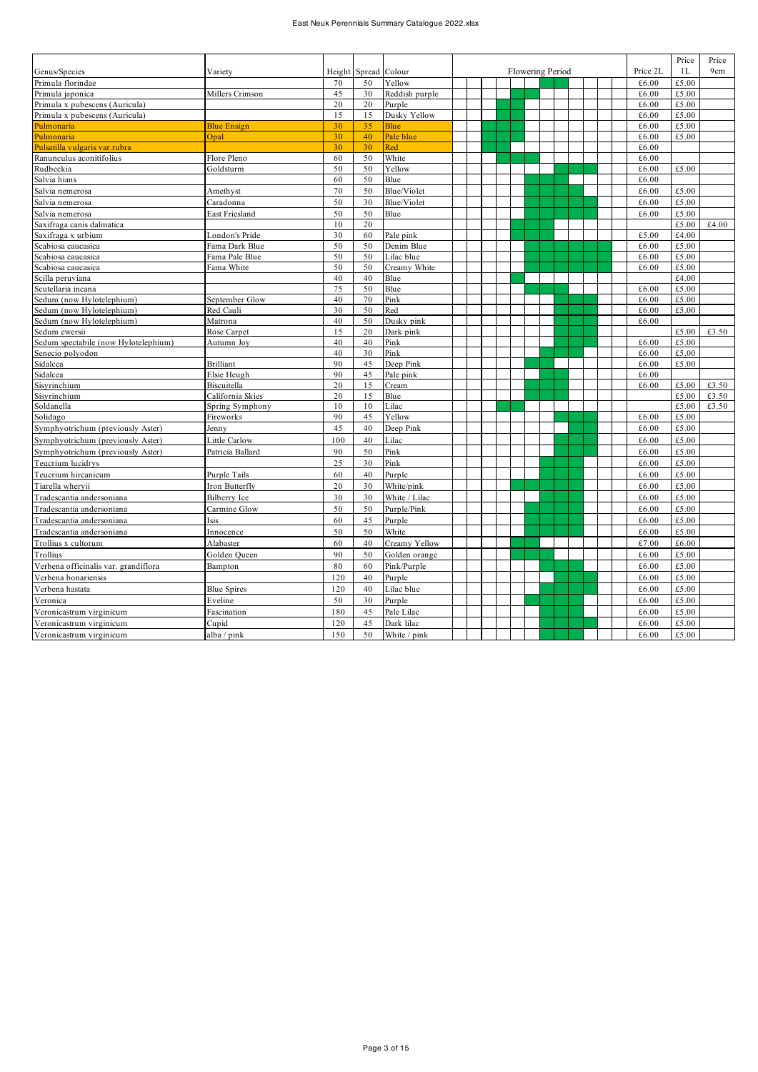## East Neuk Perennials Summary Catalogue 2022.xlsx

|                                      |                    |        |        |                |  |                  |  |          | Price | Price |
|--------------------------------------|--------------------|--------|--------|----------------|--|------------------|--|----------|-------|-------|
| Genus/Species                        | Variety            | Height | Spread | Colour         |  | Flowering Period |  | Price 2L | 1L    | 9cm   |
| Primula florindae                    |                    | 70     | 50     | Yellow         |  |                  |  | £6.00    | £5.00 |       |
| Primula japonica                     | Millers Crimson    | 45     | 30     | Reddish purple |  |                  |  | £6.00    | £5.00 |       |
| Primula x pubescens (Auricula)       |                    | 20     | 20     | Purple         |  |                  |  | £6.00    | £5.00 |       |
| Primula x pubescens (Auricula)       |                    | 15     | 15     | Dusky Yellow   |  |                  |  | £6.00    | £5.00 |       |
| Pulmonaria                           | <b>Blue Ensign</b> | 30     | 35     | <b>Blue</b>    |  |                  |  | £6.00    | £5.00 |       |
| Pulmonaria                           | Opal               | 30     | 40     | Pale blue      |  |                  |  | £6.00    | £5.00 |       |
| Pulsatilla vulgaris var.rubra        |                    | 30     | 30     | Red            |  |                  |  | £6.00    |       |       |
| Ranunculus aconitifolius             | Flore Pleno        | 60     | 50     | White          |  |                  |  | £6.00    |       |       |
| Rudbeckia                            | Goldsturm          | 50     | 50     | Yellow         |  |                  |  | £6.00    | £5.00 |       |
| Salvia hians                         |                    | 60     | 50     | Blue           |  |                  |  | £6.00    |       |       |
| Salvia nemerosa                      | Amethyst           | 70     | 50     | Blue/Violet    |  |                  |  | £6.00    | £5.00 |       |
| Salvia nemerosa                      | Caradonna          | 50     | 30     | Blue/Violet    |  |                  |  | £6.00    | £5.00 |       |
| Salvia nemerosa                      | East Friesland     | 50     | 50     | Blue           |  |                  |  | £6.00    | £5.00 |       |
| Saxifraga canis dalmatica            |                    | 10     | 20     |                |  |                  |  |          | £5.00 | £4.00 |
| Saxifraga x urbium                   | London's Pride     | 30     | 60     | Pale pink      |  |                  |  | £5.00    | £4.00 |       |
| Scabiosa caucasica                   | Fama Dark Blue     | 50     | 50     | Denim Blue     |  |                  |  | £6.00    | £5.00 |       |
| Scabiosa caucasica                   | Fama Pale Blue     | 50     | 50     | Lilac blue     |  |                  |  | £6.00    | £5.00 |       |
| Scabiosa caucasica                   | Fama White         | 50     | 50     | Creamy White   |  |                  |  | £6.00    | £5.00 |       |
| Scilla peruviana                     |                    | 40     | 40     | Blue           |  |                  |  |          | £4.00 |       |
| Scutellaria incana                   |                    | 75     | 50     | Blue           |  |                  |  | £6.00    | £5.00 |       |
| Sedum (now Hylotelephium)            | September Glow     | 40     | 70     | Pink           |  |                  |  | £6.00    | £5.00 |       |
| Sedum (now Hylotelephium)            | Red Cauli          | 30     | 50     | Red            |  |                  |  | £6.00    | £5.00 |       |
| Sedum (now Hylotelephium)            | Matrona            | 40     | 50     | Dusky pink     |  |                  |  | £6.00    |       |       |
| Sedum ewersii                        | Rose Carpet        | 15     | 20     | Dark pink      |  |                  |  |          | £5.00 | £3.50 |
| Sedum spectabile (now Hylotelephium) | Autumn Joy         | 40     | 40     | Pink           |  |                  |  | £6.00    | £5.00 |       |
| Senecio polyodon                     |                    | 40     | 30     | Pink           |  |                  |  | £6.00    | £5.00 |       |
| Sidalcea                             | Brilliant          | 90     | 45     | Deep Pink      |  |                  |  | £6.00    | £5.00 |       |
| Sidalcea                             | Elsie Heugh        | 90     | 45     | Pale pink      |  |                  |  | £6.00    |       |       |
| Sisyrinchium                         | Biscuitella        | 20     | 15     | Cream          |  |                  |  | £6.00    | £5.00 | £3.50 |
| Sisvrinchium                         | California Skies   | 20     | 15     | Blue           |  |                  |  |          | £5.00 | £3.50 |
| Soldanella                           | Spring Symphony    | 10     | 10     | Lilac          |  |                  |  |          | £5.00 | £3.50 |
| Solidago                             | Fireworks          | 90     | 45     | Yellow         |  |                  |  | £6.00    | £5.00 |       |
| Symphyotrichum (previously Aster)    | Jennv              | 45     | 40     | Deep Pink      |  |                  |  | £6.00    | £5.00 |       |
| Symphyotrichum (previously Aster)    | Little Carlow      | 100    | 40     | Lilac          |  |                  |  | £6.00    | £5.00 |       |
| Symphyotrichum (previously Aster)    | Patricia Ballard   | 90     | 50     | Pink           |  |                  |  | £6.00    | £5.00 |       |
| Teucrium lucidrys                    |                    | 25     | 30     | Pink           |  |                  |  | £6.00    | £5.00 |       |
| Teucrium hircanicum                  | Purple Tails       | 60     | 40     | Purple         |  |                  |  | £6.00    | £5.00 |       |
| Tiarella whervii                     | Iron Butterfly     | 20     | 30     | White/pink     |  |                  |  | £6.00    | £5.00 |       |
| Tradescantia andersoniana            | Bilberry Ice       | 30     | 30     | White / Lilac  |  |                  |  | £6.00    | £5.00 |       |
| Tradescantia andersoniana            | Carmine Glow       | 50     | 50     | Purple/Pink    |  |                  |  | £6.00    | £5.00 |       |
| Tradescantia andersoniana            | Isis               | 60     | 45     | Purple         |  |                  |  | £6.00    | £5.00 |       |
| Tradescantia andersoniana            | Innocence          | 50     | 50     | White          |  |                  |  | £6.00    | £5.00 |       |
| Trollius x cultorum                  | Alabaster          | 60     | 40     | Creamy Yellow  |  |                  |  | £7.00    | £6.00 |       |
| Trollius                             | Golden Queen       | 90     | 50     | Golden orange  |  |                  |  | £6.00    | £5.00 |       |
| Verbena officinalis var. grandiflora | Bampton            | 80     | 60     | Pink/Purple    |  |                  |  | £6.00    | £5.00 |       |
| Verbena bonariensis                  |                    | 120    | 40     | Purple         |  |                  |  | £6.00    | £5.00 |       |
| Verbena hastata                      | <b>Blue Spires</b> | 120    | 40     | Lilac blue     |  |                  |  | £6.00    | £5.00 |       |
| Veronica                             | Eveline            | 50     | 30     | Purple         |  |                  |  | £6.00    | £5.00 |       |
| Veronicastrum virginicum             | Fascination        | 180    | 45     | Pale Lilac     |  |                  |  | £6.00    | £5.00 |       |
| Veronicastrum virginicum             | Cupid              | 120    | 45     | Dark lilac     |  |                  |  | £6.00    | £5.00 |       |
|                                      |                    |        |        |                |  |                  |  |          |       |       |
| Veronicastrum virginicum             | alba / pink        | 150    | 50     | White / pink   |  |                  |  | £6.00    | £5.00 |       |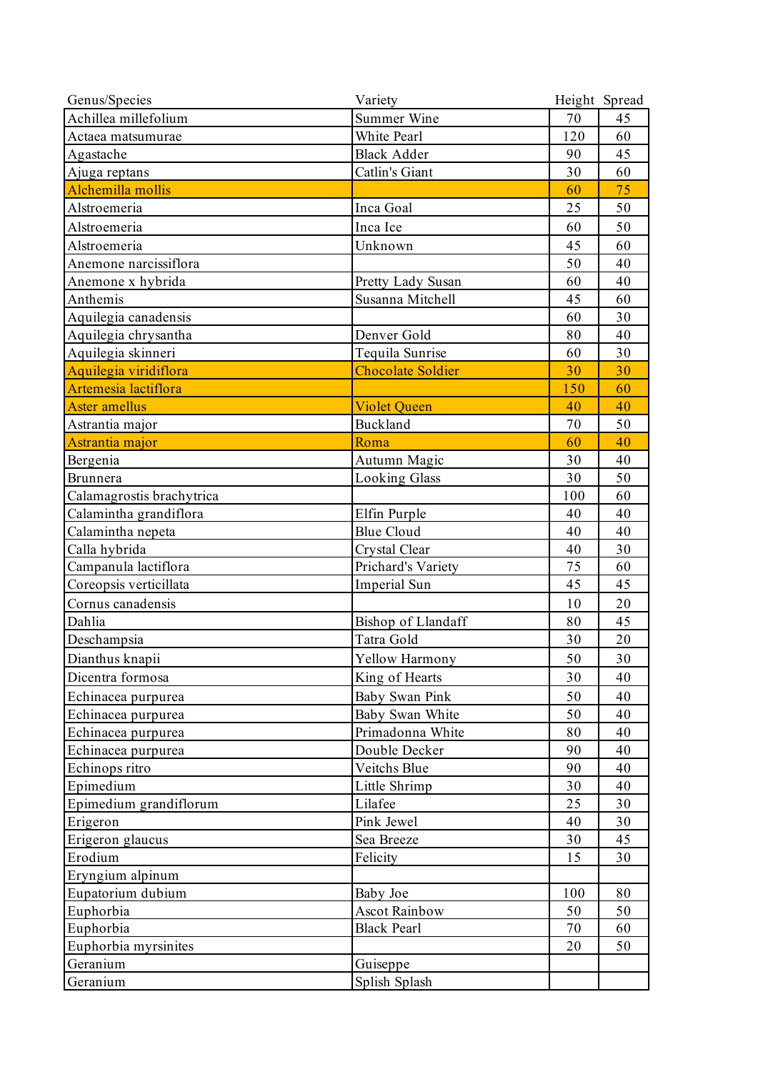| 70<br>45<br>White Pearl<br>120<br>60<br>Actaea matsumurae<br><b>Black Adder</b><br>45<br>Agastache<br>90<br>Catlin's Giant<br>30<br>60<br>Ajuga reptans<br>Alchemilla mollis<br>75<br>60<br>Alstroemeria<br>Inca Goal<br>25<br>50<br>Alstroemeria<br>Inca Ice<br>50<br>60<br>60<br>Alstroemeria<br>Unknown<br>45<br>50<br>40<br>Anemone narcissiflora<br>Anemone x hybrida<br>40<br>60<br>Pretty Lady Susan<br>Anthemis<br>60<br>Susanna Mitchell<br>45<br>Aquilegia canadensis<br>30<br>60<br>Aquilegia chrysantha<br>Denver Gold<br>80<br>40<br>Aquilegia skinneri<br>Tequila Sunrise<br>30<br>60<br>Aquilegia viridiflora<br><b>Chocolate Soldier</b><br>30<br>30<br>Artemesia lactiflora<br>60<br>150<br>40<br><b>Aster amellus</b><br><b>Violet Queen</b><br>40<br>Buckland<br>Astrantia major<br>50<br>70<br>Astrantia major<br>40<br>Roma<br>60<br>Autumn Magic<br>Bergenia<br>30<br>40<br><b>Looking Glass</b><br>30<br>50<br>Brunnera<br>Calamagrostis brachytrica<br>60<br>100<br>Calamintha grandiflora<br>Elfin Purple<br>40<br>40<br><b>Blue Cloud</b><br>Calamintha nepeta<br>40<br>40<br>30<br>Calla hybrida<br>Crystal Clear<br>40<br>Campanula lactiflora<br>Prichard's Variety<br>75<br>60<br>Coreopsis verticillata<br>45<br>45<br>Imperial Sun<br>20<br>Cornus canadensis<br>10<br>Dahlia<br>Bishop of Llandaff<br>80<br>45<br>Tatra Gold<br>Deschampsia<br>20<br>30<br>Dianthus knapii<br>50<br>30<br>Yellow Harmony<br>King of Hearts<br>30<br>40<br>Dicentra formosa<br>Baby Swan Pink<br>50<br>40<br>Echinacea purpurea<br>40<br>Echinacea purpurea<br>Baby Swan White<br>50<br>Primadonna White<br>40<br>Echinacea purpurea<br>80<br>Double Decker<br>90<br>40<br>Echinacea purpurea<br>Echinops ritro<br>Veitchs Blue<br>40<br>90<br>Epimedium<br>Little Shrimp<br>30<br>40<br>Epimedium grandiflorum<br>Lilafee<br>25<br>30<br>Erigeron<br>Pink Jewel<br>40<br>30<br>Erigeron glaucus<br>Sea Breeze<br>45<br>30<br>Erodium<br>30<br>Felicity<br>15<br>Eryngium alpinum<br>Eupatorium dubium<br>Baby Joe<br>100<br>80<br>Euphorbia<br><b>Ascot Rainbow</b><br>50<br>50<br>Euphorbia<br><b>Black Pearl</b><br>60<br>70<br>Euphorbia myrsinites<br>50<br>20<br>Geranium<br>Guiseppe<br>Geranium<br>Splish Splash | Genus/Species        | Variety     | Height Spread |
|------------------------------------------------------------------------------------------------------------------------------------------------------------------------------------------------------------------------------------------------------------------------------------------------------------------------------------------------------------------------------------------------------------------------------------------------------------------------------------------------------------------------------------------------------------------------------------------------------------------------------------------------------------------------------------------------------------------------------------------------------------------------------------------------------------------------------------------------------------------------------------------------------------------------------------------------------------------------------------------------------------------------------------------------------------------------------------------------------------------------------------------------------------------------------------------------------------------------------------------------------------------------------------------------------------------------------------------------------------------------------------------------------------------------------------------------------------------------------------------------------------------------------------------------------------------------------------------------------------------------------------------------------------------------------------------------------------------------------------------------------------------------------------------------------------------------------------------------------------------------------------------------------------------------------------------------------------------------------------------------------------------------------------------------------------------------------------------------------------------------------------------------------------------------------------------------------------------------------------------|----------------------|-------------|---------------|
|                                                                                                                                                                                                                                                                                                                                                                                                                                                                                                                                                                                                                                                                                                                                                                                                                                                                                                                                                                                                                                                                                                                                                                                                                                                                                                                                                                                                                                                                                                                                                                                                                                                                                                                                                                                                                                                                                                                                                                                                                                                                                                                                                                                                                                          | Achillea millefolium | Summer Wine |               |
|                                                                                                                                                                                                                                                                                                                                                                                                                                                                                                                                                                                                                                                                                                                                                                                                                                                                                                                                                                                                                                                                                                                                                                                                                                                                                                                                                                                                                                                                                                                                                                                                                                                                                                                                                                                                                                                                                                                                                                                                                                                                                                                                                                                                                                          |                      |             |               |
|                                                                                                                                                                                                                                                                                                                                                                                                                                                                                                                                                                                                                                                                                                                                                                                                                                                                                                                                                                                                                                                                                                                                                                                                                                                                                                                                                                                                                                                                                                                                                                                                                                                                                                                                                                                                                                                                                                                                                                                                                                                                                                                                                                                                                                          |                      |             |               |
|                                                                                                                                                                                                                                                                                                                                                                                                                                                                                                                                                                                                                                                                                                                                                                                                                                                                                                                                                                                                                                                                                                                                                                                                                                                                                                                                                                                                                                                                                                                                                                                                                                                                                                                                                                                                                                                                                                                                                                                                                                                                                                                                                                                                                                          |                      |             |               |
|                                                                                                                                                                                                                                                                                                                                                                                                                                                                                                                                                                                                                                                                                                                                                                                                                                                                                                                                                                                                                                                                                                                                                                                                                                                                                                                                                                                                                                                                                                                                                                                                                                                                                                                                                                                                                                                                                                                                                                                                                                                                                                                                                                                                                                          |                      |             |               |
|                                                                                                                                                                                                                                                                                                                                                                                                                                                                                                                                                                                                                                                                                                                                                                                                                                                                                                                                                                                                                                                                                                                                                                                                                                                                                                                                                                                                                                                                                                                                                                                                                                                                                                                                                                                                                                                                                                                                                                                                                                                                                                                                                                                                                                          |                      |             |               |
|                                                                                                                                                                                                                                                                                                                                                                                                                                                                                                                                                                                                                                                                                                                                                                                                                                                                                                                                                                                                                                                                                                                                                                                                                                                                                                                                                                                                                                                                                                                                                                                                                                                                                                                                                                                                                                                                                                                                                                                                                                                                                                                                                                                                                                          |                      |             |               |
|                                                                                                                                                                                                                                                                                                                                                                                                                                                                                                                                                                                                                                                                                                                                                                                                                                                                                                                                                                                                                                                                                                                                                                                                                                                                                                                                                                                                                                                                                                                                                                                                                                                                                                                                                                                                                                                                                                                                                                                                                                                                                                                                                                                                                                          |                      |             |               |
|                                                                                                                                                                                                                                                                                                                                                                                                                                                                                                                                                                                                                                                                                                                                                                                                                                                                                                                                                                                                                                                                                                                                                                                                                                                                                                                                                                                                                                                                                                                                                                                                                                                                                                                                                                                                                                                                                                                                                                                                                                                                                                                                                                                                                                          |                      |             |               |
|                                                                                                                                                                                                                                                                                                                                                                                                                                                                                                                                                                                                                                                                                                                                                                                                                                                                                                                                                                                                                                                                                                                                                                                                                                                                                                                                                                                                                                                                                                                                                                                                                                                                                                                                                                                                                                                                                                                                                                                                                                                                                                                                                                                                                                          |                      |             |               |
|                                                                                                                                                                                                                                                                                                                                                                                                                                                                                                                                                                                                                                                                                                                                                                                                                                                                                                                                                                                                                                                                                                                                                                                                                                                                                                                                                                                                                                                                                                                                                                                                                                                                                                                                                                                                                                                                                                                                                                                                                                                                                                                                                                                                                                          |                      |             |               |
|                                                                                                                                                                                                                                                                                                                                                                                                                                                                                                                                                                                                                                                                                                                                                                                                                                                                                                                                                                                                                                                                                                                                                                                                                                                                                                                                                                                                                                                                                                                                                                                                                                                                                                                                                                                                                                                                                                                                                                                                                                                                                                                                                                                                                                          |                      |             |               |
|                                                                                                                                                                                                                                                                                                                                                                                                                                                                                                                                                                                                                                                                                                                                                                                                                                                                                                                                                                                                                                                                                                                                                                                                                                                                                                                                                                                                                                                                                                                                                                                                                                                                                                                                                                                                                                                                                                                                                                                                                                                                                                                                                                                                                                          |                      |             |               |
|                                                                                                                                                                                                                                                                                                                                                                                                                                                                                                                                                                                                                                                                                                                                                                                                                                                                                                                                                                                                                                                                                                                                                                                                                                                                                                                                                                                                                                                                                                                                                                                                                                                                                                                                                                                                                                                                                                                                                                                                                                                                                                                                                                                                                                          |                      |             |               |
|                                                                                                                                                                                                                                                                                                                                                                                                                                                                                                                                                                                                                                                                                                                                                                                                                                                                                                                                                                                                                                                                                                                                                                                                                                                                                                                                                                                                                                                                                                                                                                                                                                                                                                                                                                                                                                                                                                                                                                                                                                                                                                                                                                                                                                          |                      |             |               |
|                                                                                                                                                                                                                                                                                                                                                                                                                                                                                                                                                                                                                                                                                                                                                                                                                                                                                                                                                                                                                                                                                                                                                                                                                                                                                                                                                                                                                                                                                                                                                                                                                                                                                                                                                                                                                                                                                                                                                                                                                                                                                                                                                                                                                                          |                      |             |               |
|                                                                                                                                                                                                                                                                                                                                                                                                                                                                                                                                                                                                                                                                                                                                                                                                                                                                                                                                                                                                                                                                                                                                                                                                                                                                                                                                                                                                                                                                                                                                                                                                                                                                                                                                                                                                                                                                                                                                                                                                                                                                                                                                                                                                                                          |                      |             |               |
|                                                                                                                                                                                                                                                                                                                                                                                                                                                                                                                                                                                                                                                                                                                                                                                                                                                                                                                                                                                                                                                                                                                                                                                                                                                                                                                                                                                                                                                                                                                                                                                                                                                                                                                                                                                                                                                                                                                                                                                                                                                                                                                                                                                                                                          |                      |             |               |
|                                                                                                                                                                                                                                                                                                                                                                                                                                                                                                                                                                                                                                                                                                                                                                                                                                                                                                                                                                                                                                                                                                                                                                                                                                                                                                                                                                                                                                                                                                                                                                                                                                                                                                                                                                                                                                                                                                                                                                                                                                                                                                                                                                                                                                          |                      |             |               |
|                                                                                                                                                                                                                                                                                                                                                                                                                                                                                                                                                                                                                                                                                                                                                                                                                                                                                                                                                                                                                                                                                                                                                                                                                                                                                                                                                                                                                                                                                                                                                                                                                                                                                                                                                                                                                                                                                                                                                                                                                                                                                                                                                                                                                                          |                      |             |               |
|                                                                                                                                                                                                                                                                                                                                                                                                                                                                                                                                                                                                                                                                                                                                                                                                                                                                                                                                                                                                                                                                                                                                                                                                                                                                                                                                                                                                                                                                                                                                                                                                                                                                                                                                                                                                                                                                                                                                                                                                                                                                                                                                                                                                                                          |                      |             |               |
|                                                                                                                                                                                                                                                                                                                                                                                                                                                                                                                                                                                                                                                                                                                                                                                                                                                                                                                                                                                                                                                                                                                                                                                                                                                                                                                                                                                                                                                                                                                                                                                                                                                                                                                                                                                                                                                                                                                                                                                                                                                                                                                                                                                                                                          |                      |             |               |
|                                                                                                                                                                                                                                                                                                                                                                                                                                                                                                                                                                                                                                                                                                                                                                                                                                                                                                                                                                                                                                                                                                                                                                                                                                                                                                                                                                                                                                                                                                                                                                                                                                                                                                                                                                                                                                                                                                                                                                                                                                                                                                                                                                                                                                          |                      |             |               |
|                                                                                                                                                                                                                                                                                                                                                                                                                                                                                                                                                                                                                                                                                                                                                                                                                                                                                                                                                                                                                                                                                                                                                                                                                                                                                                                                                                                                                                                                                                                                                                                                                                                                                                                                                                                                                                                                                                                                                                                                                                                                                                                                                                                                                                          |                      |             |               |
|                                                                                                                                                                                                                                                                                                                                                                                                                                                                                                                                                                                                                                                                                                                                                                                                                                                                                                                                                                                                                                                                                                                                                                                                                                                                                                                                                                                                                                                                                                                                                                                                                                                                                                                                                                                                                                                                                                                                                                                                                                                                                                                                                                                                                                          |                      |             |               |
|                                                                                                                                                                                                                                                                                                                                                                                                                                                                                                                                                                                                                                                                                                                                                                                                                                                                                                                                                                                                                                                                                                                                                                                                                                                                                                                                                                                                                                                                                                                                                                                                                                                                                                                                                                                                                                                                                                                                                                                                                                                                                                                                                                                                                                          |                      |             |               |
|                                                                                                                                                                                                                                                                                                                                                                                                                                                                                                                                                                                                                                                                                                                                                                                                                                                                                                                                                                                                                                                                                                                                                                                                                                                                                                                                                                                                                                                                                                                                                                                                                                                                                                                                                                                                                                                                                                                                                                                                                                                                                                                                                                                                                                          |                      |             |               |
|                                                                                                                                                                                                                                                                                                                                                                                                                                                                                                                                                                                                                                                                                                                                                                                                                                                                                                                                                                                                                                                                                                                                                                                                                                                                                                                                                                                                                                                                                                                                                                                                                                                                                                                                                                                                                                                                                                                                                                                                                                                                                                                                                                                                                                          |                      |             |               |
|                                                                                                                                                                                                                                                                                                                                                                                                                                                                                                                                                                                                                                                                                                                                                                                                                                                                                                                                                                                                                                                                                                                                                                                                                                                                                                                                                                                                                                                                                                                                                                                                                                                                                                                                                                                                                                                                                                                                                                                                                                                                                                                                                                                                                                          |                      |             |               |
|                                                                                                                                                                                                                                                                                                                                                                                                                                                                                                                                                                                                                                                                                                                                                                                                                                                                                                                                                                                                                                                                                                                                                                                                                                                                                                                                                                                                                                                                                                                                                                                                                                                                                                                                                                                                                                                                                                                                                                                                                                                                                                                                                                                                                                          |                      |             |               |
|                                                                                                                                                                                                                                                                                                                                                                                                                                                                                                                                                                                                                                                                                                                                                                                                                                                                                                                                                                                                                                                                                                                                                                                                                                                                                                                                                                                                                                                                                                                                                                                                                                                                                                                                                                                                                                                                                                                                                                                                                                                                                                                                                                                                                                          |                      |             |               |
|                                                                                                                                                                                                                                                                                                                                                                                                                                                                                                                                                                                                                                                                                                                                                                                                                                                                                                                                                                                                                                                                                                                                                                                                                                                                                                                                                                                                                                                                                                                                                                                                                                                                                                                                                                                                                                                                                                                                                                                                                                                                                                                                                                                                                                          |                      |             |               |
|                                                                                                                                                                                                                                                                                                                                                                                                                                                                                                                                                                                                                                                                                                                                                                                                                                                                                                                                                                                                                                                                                                                                                                                                                                                                                                                                                                                                                                                                                                                                                                                                                                                                                                                                                                                                                                                                                                                                                                                                                                                                                                                                                                                                                                          |                      |             |               |
|                                                                                                                                                                                                                                                                                                                                                                                                                                                                                                                                                                                                                                                                                                                                                                                                                                                                                                                                                                                                                                                                                                                                                                                                                                                                                                                                                                                                                                                                                                                                                                                                                                                                                                                                                                                                                                                                                                                                                                                                                                                                                                                                                                                                                                          |                      |             |               |
|                                                                                                                                                                                                                                                                                                                                                                                                                                                                                                                                                                                                                                                                                                                                                                                                                                                                                                                                                                                                                                                                                                                                                                                                                                                                                                                                                                                                                                                                                                                                                                                                                                                                                                                                                                                                                                                                                                                                                                                                                                                                                                                                                                                                                                          |                      |             |               |
|                                                                                                                                                                                                                                                                                                                                                                                                                                                                                                                                                                                                                                                                                                                                                                                                                                                                                                                                                                                                                                                                                                                                                                                                                                                                                                                                                                                                                                                                                                                                                                                                                                                                                                                                                                                                                                                                                                                                                                                                                                                                                                                                                                                                                                          |                      |             |               |
|                                                                                                                                                                                                                                                                                                                                                                                                                                                                                                                                                                                                                                                                                                                                                                                                                                                                                                                                                                                                                                                                                                                                                                                                                                                                                                                                                                                                                                                                                                                                                                                                                                                                                                                                                                                                                                                                                                                                                                                                                                                                                                                                                                                                                                          |                      |             |               |
|                                                                                                                                                                                                                                                                                                                                                                                                                                                                                                                                                                                                                                                                                                                                                                                                                                                                                                                                                                                                                                                                                                                                                                                                                                                                                                                                                                                                                                                                                                                                                                                                                                                                                                                                                                                                                                                                                                                                                                                                                                                                                                                                                                                                                                          |                      |             |               |
|                                                                                                                                                                                                                                                                                                                                                                                                                                                                                                                                                                                                                                                                                                                                                                                                                                                                                                                                                                                                                                                                                                                                                                                                                                                                                                                                                                                                                                                                                                                                                                                                                                                                                                                                                                                                                                                                                                                                                                                                                                                                                                                                                                                                                                          |                      |             |               |
|                                                                                                                                                                                                                                                                                                                                                                                                                                                                                                                                                                                                                                                                                                                                                                                                                                                                                                                                                                                                                                                                                                                                                                                                                                                                                                                                                                                                                                                                                                                                                                                                                                                                                                                                                                                                                                                                                                                                                                                                                                                                                                                                                                                                                                          |                      |             |               |
|                                                                                                                                                                                                                                                                                                                                                                                                                                                                                                                                                                                                                                                                                                                                                                                                                                                                                                                                                                                                                                                                                                                                                                                                                                                                                                                                                                                                                                                                                                                                                                                                                                                                                                                                                                                                                                                                                                                                                                                                                                                                                                                                                                                                                                          |                      |             |               |
|                                                                                                                                                                                                                                                                                                                                                                                                                                                                                                                                                                                                                                                                                                                                                                                                                                                                                                                                                                                                                                                                                                                                                                                                                                                                                                                                                                                                                                                                                                                                                                                                                                                                                                                                                                                                                                                                                                                                                                                                                                                                                                                                                                                                                                          |                      |             |               |
|                                                                                                                                                                                                                                                                                                                                                                                                                                                                                                                                                                                                                                                                                                                                                                                                                                                                                                                                                                                                                                                                                                                                                                                                                                                                                                                                                                                                                                                                                                                                                                                                                                                                                                                                                                                                                                                                                                                                                                                                                                                                                                                                                                                                                                          |                      |             |               |
|                                                                                                                                                                                                                                                                                                                                                                                                                                                                                                                                                                                                                                                                                                                                                                                                                                                                                                                                                                                                                                                                                                                                                                                                                                                                                                                                                                                                                                                                                                                                                                                                                                                                                                                                                                                                                                                                                                                                                                                                                                                                                                                                                                                                                                          |                      |             |               |
|                                                                                                                                                                                                                                                                                                                                                                                                                                                                                                                                                                                                                                                                                                                                                                                                                                                                                                                                                                                                                                                                                                                                                                                                                                                                                                                                                                                                                                                                                                                                                                                                                                                                                                                                                                                                                                                                                                                                                                                                                                                                                                                                                                                                                                          |                      |             |               |
|                                                                                                                                                                                                                                                                                                                                                                                                                                                                                                                                                                                                                                                                                                                                                                                                                                                                                                                                                                                                                                                                                                                                                                                                                                                                                                                                                                                                                                                                                                                                                                                                                                                                                                                                                                                                                                                                                                                                                                                                                                                                                                                                                                                                                                          |                      |             |               |
|                                                                                                                                                                                                                                                                                                                                                                                                                                                                                                                                                                                                                                                                                                                                                                                                                                                                                                                                                                                                                                                                                                                                                                                                                                                                                                                                                                                                                                                                                                                                                                                                                                                                                                                                                                                                                                                                                                                                                                                                                                                                                                                                                                                                                                          |                      |             |               |
|                                                                                                                                                                                                                                                                                                                                                                                                                                                                                                                                                                                                                                                                                                                                                                                                                                                                                                                                                                                                                                                                                                                                                                                                                                                                                                                                                                                                                                                                                                                                                                                                                                                                                                                                                                                                                                                                                                                                                                                                                                                                                                                                                                                                                                          |                      |             |               |
|                                                                                                                                                                                                                                                                                                                                                                                                                                                                                                                                                                                                                                                                                                                                                                                                                                                                                                                                                                                                                                                                                                                                                                                                                                                                                                                                                                                                                                                                                                                                                                                                                                                                                                                                                                                                                                                                                                                                                                                                                                                                                                                                                                                                                                          |                      |             |               |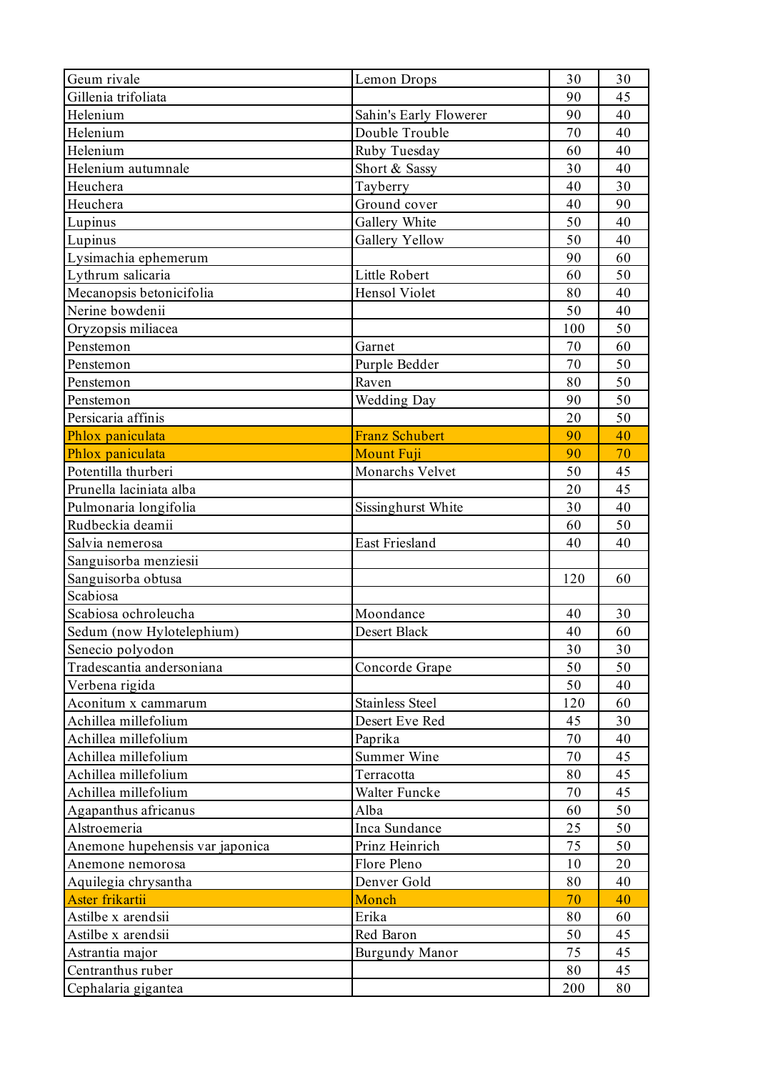| Gillenia trifoliata<br>45<br>90<br>90<br>40<br>Helenium<br>Sahin's Early Flowerer<br>Helenium<br>70<br>40<br>Double Trouble<br>Helenium<br>40<br>Ruby Tuesday<br>60<br>Short & Sassy<br>30<br>40<br>Helenium autumnale<br>30<br>Heuchera<br>Tayberry<br>40<br>Heuchera<br>Ground cover<br>40<br>90<br>Gallery White<br>50<br>40<br>Lupinus<br>Gallery Yellow<br>50<br>40<br>Lupinus<br>60<br>Lysimachia ephemerum<br>90<br>50<br>Little Robert<br>Lythrum salicaria<br>60<br>Mecanopsis betonicifolia<br>Hensol Violet<br>40<br>80<br>40<br>Nerine bowdenii<br>50<br>Oryzopsis miliacea<br>50<br>100<br>60<br>Penstemon<br>Garnet<br>70<br>50<br>Penstemon<br>Purple Bedder<br>70<br>50<br>Raven<br>80<br>Penstemon<br>50<br><b>Wedding Day</b><br>90<br>Penstemon<br>Persicaria affinis<br>50<br>20<br><b>Franz Schubert</b><br>40<br>Phlox paniculata<br>90<br>Phlox paniculata<br><b>Mount Fuji</b><br>90<br>70<br>Potentilla thurberi<br>Monarchs Velvet<br>45<br>50<br>Prunella laciniata alba<br>45<br>20<br>Pulmonaria longifolia<br>Sissinghurst White<br>40<br>30<br>Rudbeckia deamii<br>50<br>60<br>Salvia nemerosa<br>East Friesland<br>40<br>40<br>Sanguisorba menziesii<br>Sanguisorba obtusa<br>120<br>60<br>Scabiosa<br>Scabiosa ochroleucha<br>30<br>Moondance<br>40<br>Sedum (now Hylotelephium)<br>Desert Black<br>40<br>60<br>30<br>30<br>Senecio polyodon<br>Tradescantia andersoniana<br>50<br>50<br>Concorde Grape<br>Verbena rigida<br>50<br>40<br>60<br>Aconitum x cammarum<br><b>Stainless Steel</b><br>120<br>Achillea millefolium<br>Desert Eve Red<br>30<br>45<br>Achillea millefolium<br>Paprika<br>70<br>40<br>Achillea millefolium<br>Summer Wine<br>70<br>45<br>Achillea millefolium<br>Terracotta<br>80<br>45<br>Achillea millefolium<br>45<br>Walter Funcke<br>70<br>50<br>Agapanthus africanus<br>Alba<br>60<br>Alstroemeria<br>Inca Sundance<br>50<br>25<br>75<br>50<br>Anemone hupehensis var japonica<br>Prinz Heinrich<br>Flore Pleno<br>10<br>20<br>Anemone nemorosa<br>Denver Gold<br>Aquilegia chrysantha<br>80<br>40<br>Monch<br>40<br>Aster frikartii<br>70<br>Astilbe x arendsii<br>Erika<br>80<br>60<br>Astilbe x arendsii<br>Red Baron<br>50<br>45<br>75<br>45<br>Astrantia major<br><b>Burgundy Manor</b><br>45<br>Centranthus ruber<br>80<br>Cephalaria gigantea<br>80<br>200 | Geum rivale | Lemon Drops | 30 | 30 |
|--------------------------------------------------------------------------------------------------------------------------------------------------------------------------------------------------------------------------------------------------------------------------------------------------------------------------------------------------------------------------------------------------------------------------------------------------------------------------------------------------------------------------------------------------------------------------------------------------------------------------------------------------------------------------------------------------------------------------------------------------------------------------------------------------------------------------------------------------------------------------------------------------------------------------------------------------------------------------------------------------------------------------------------------------------------------------------------------------------------------------------------------------------------------------------------------------------------------------------------------------------------------------------------------------------------------------------------------------------------------------------------------------------------------------------------------------------------------------------------------------------------------------------------------------------------------------------------------------------------------------------------------------------------------------------------------------------------------------------------------------------------------------------------------------------------------------------------------------------------------------------------------------------------------------------------------------------------------------------------------------------------------------------------------------------------------------------------------------------------------------------------------------------------------------------------------------------------------------------------------------------------------------------------------------------------------------------|-------------|-------------|----|----|
|                                                                                                                                                                                                                                                                                                                                                                                                                                                                                                                                                                                                                                                                                                                                                                                                                                                                                                                                                                                                                                                                                                                                                                                                                                                                                                                                                                                                                                                                                                                                                                                                                                                                                                                                                                                                                                                                                                                                                                                                                                                                                                                                                                                                                                                                                                                                |             |             |    |    |
|                                                                                                                                                                                                                                                                                                                                                                                                                                                                                                                                                                                                                                                                                                                                                                                                                                                                                                                                                                                                                                                                                                                                                                                                                                                                                                                                                                                                                                                                                                                                                                                                                                                                                                                                                                                                                                                                                                                                                                                                                                                                                                                                                                                                                                                                                                                                |             |             |    |    |
|                                                                                                                                                                                                                                                                                                                                                                                                                                                                                                                                                                                                                                                                                                                                                                                                                                                                                                                                                                                                                                                                                                                                                                                                                                                                                                                                                                                                                                                                                                                                                                                                                                                                                                                                                                                                                                                                                                                                                                                                                                                                                                                                                                                                                                                                                                                                |             |             |    |    |
|                                                                                                                                                                                                                                                                                                                                                                                                                                                                                                                                                                                                                                                                                                                                                                                                                                                                                                                                                                                                                                                                                                                                                                                                                                                                                                                                                                                                                                                                                                                                                                                                                                                                                                                                                                                                                                                                                                                                                                                                                                                                                                                                                                                                                                                                                                                                |             |             |    |    |
|                                                                                                                                                                                                                                                                                                                                                                                                                                                                                                                                                                                                                                                                                                                                                                                                                                                                                                                                                                                                                                                                                                                                                                                                                                                                                                                                                                                                                                                                                                                                                                                                                                                                                                                                                                                                                                                                                                                                                                                                                                                                                                                                                                                                                                                                                                                                |             |             |    |    |
|                                                                                                                                                                                                                                                                                                                                                                                                                                                                                                                                                                                                                                                                                                                                                                                                                                                                                                                                                                                                                                                                                                                                                                                                                                                                                                                                                                                                                                                                                                                                                                                                                                                                                                                                                                                                                                                                                                                                                                                                                                                                                                                                                                                                                                                                                                                                |             |             |    |    |
|                                                                                                                                                                                                                                                                                                                                                                                                                                                                                                                                                                                                                                                                                                                                                                                                                                                                                                                                                                                                                                                                                                                                                                                                                                                                                                                                                                                                                                                                                                                                                                                                                                                                                                                                                                                                                                                                                                                                                                                                                                                                                                                                                                                                                                                                                                                                |             |             |    |    |
|                                                                                                                                                                                                                                                                                                                                                                                                                                                                                                                                                                                                                                                                                                                                                                                                                                                                                                                                                                                                                                                                                                                                                                                                                                                                                                                                                                                                                                                                                                                                                                                                                                                                                                                                                                                                                                                                                                                                                                                                                                                                                                                                                                                                                                                                                                                                |             |             |    |    |
|                                                                                                                                                                                                                                                                                                                                                                                                                                                                                                                                                                                                                                                                                                                                                                                                                                                                                                                                                                                                                                                                                                                                                                                                                                                                                                                                                                                                                                                                                                                                                                                                                                                                                                                                                                                                                                                                                                                                                                                                                                                                                                                                                                                                                                                                                                                                |             |             |    |    |
|                                                                                                                                                                                                                                                                                                                                                                                                                                                                                                                                                                                                                                                                                                                                                                                                                                                                                                                                                                                                                                                                                                                                                                                                                                                                                                                                                                                                                                                                                                                                                                                                                                                                                                                                                                                                                                                                                                                                                                                                                                                                                                                                                                                                                                                                                                                                |             |             |    |    |
|                                                                                                                                                                                                                                                                                                                                                                                                                                                                                                                                                                                                                                                                                                                                                                                                                                                                                                                                                                                                                                                                                                                                                                                                                                                                                                                                                                                                                                                                                                                                                                                                                                                                                                                                                                                                                                                                                                                                                                                                                                                                                                                                                                                                                                                                                                                                |             |             |    |    |
|                                                                                                                                                                                                                                                                                                                                                                                                                                                                                                                                                                                                                                                                                                                                                                                                                                                                                                                                                                                                                                                                                                                                                                                                                                                                                                                                                                                                                                                                                                                                                                                                                                                                                                                                                                                                                                                                                                                                                                                                                                                                                                                                                                                                                                                                                                                                |             |             |    |    |
|                                                                                                                                                                                                                                                                                                                                                                                                                                                                                                                                                                                                                                                                                                                                                                                                                                                                                                                                                                                                                                                                                                                                                                                                                                                                                                                                                                                                                                                                                                                                                                                                                                                                                                                                                                                                                                                                                                                                                                                                                                                                                                                                                                                                                                                                                                                                |             |             |    |    |
|                                                                                                                                                                                                                                                                                                                                                                                                                                                                                                                                                                                                                                                                                                                                                                                                                                                                                                                                                                                                                                                                                                                                                                                                                                                                                                                                                                                                                                                                                                                                                                                                                                                                                                                                                                                                                                                                                                                                                                                                                                                                                                                                                                                                                                                                                                                                |             |             |    |    |
|                                                                                                                                                                                                                                                                                                                                                                                                                                                                                                                                                                                                                                                                                                                                                                                                                                                                                                                                                                                                                                                                                                                                                                                                                                                                                                                                                                                                                                                                                                                                                                                                                                                                                                                                                                                                                                                                                                                                                                                                                                                                                                                                                                                                                                                                                                                                |             |             |    |    |
|                                                                                                                                                                                                                                                                                                                                                                                                                                                                                                                                                                                                                                                                                                                                                                                                                                                                                                                                                                                                                                                                                                                                                                                                                                                                                                                                                                                                                                                                                                                                                                                                                                                                                                                                                                                                                                                                                                                                                                                                                                                                                                                                                                                                                                                                                                                                |             |             |    |    |
|                                                                                                                                                                                                                                                                                                                                                                                                                                                                                                                                                                                                                                                                                                                                                                                                                                                                                                                                                                                                                                                                                                                                                                                                                                                                                                                                                                                                                                                                                                                                                                                                                                                                                                                                                                                                                                                                                                                                                                                                                                                                                                                                                                                                                                                                                                                                |             |             |    |    |
|                                                                                                                                                                                                                                                                                                                                                                                                                                                                                                                                                                                                                                                                                                                                                                                                                                                                                                                                                                                                                                                                                                                                                                                                                                                                                                                                                                                                                                                                                                                                                                                                                                                                                                                                                                                                                                                                                                                                                                                                                                                                                                                                                                                                                                                                                                                                |             |             |    |    |
|                                                                                                                                                                                                                                                                                                                                                                                                                                                                                                                                                                                                                                                                                                                                                                                                                                                                                                                                                                                                                                                                                                                                                                                                                                                                                                                                                                                                                                                                                                                                                                                                                                                                                                                                                                                                                                                                                                                                                                                                                                                                                                                                                                                                                                                                                                                                |             |             |    |    |
|                                                                                                                                                                                                                                                                                                                                                                                                                                                                                                                                                                                                                                                                                                                                                                                                                                                                                                                                                                                                                                                                                                                                                                                                                                                                                                                                                                                                                                                                                                                                                                                                                                                                                                                                                                                                                                                                                                                                                                                                                                                                                                                                                                                                                                                                                                                                |             |             |    |    |
|                                                                                                                                                                                                                                                                                                                                                                                                                                                                                                                                                                                                                                                                                                                                                                                                                                                                                                                                                                                                                                                                                                                                                                                                                                                                                                                                                                                                                                                                                                                                                                                                                                                                                                                                                                                                                                                                                                                                                                                                                                                                                                                                                                                                                                                                                                                                |             |             |    |    |
|                                                                                                                                                                                                                                                                                                                                                                                                                                                                                                                                                                                                                                                                                                                                                                                                                                                                                                                                                                                                                                                                                                                                                                                                                                                                                                                                                                                                                                                                                                                                                                                                                                                                                                                                                                                                                                                                                                                                                                                                                                                                                                                                                                                                                                                                                                                                |             |             |    |    |
|                                                                                                                                                                                                                                                                                                                                                                                                                                                                                                                                                                                                                                                                                                                                                                                                                                                                                                                                                                                                                                                                                                                                                                                                                                                                                                                                                                                                                                                                                                                                                                                                                                                                                                                                                                                                                                                                                                                                                                                                                                                                                                                                                                                                                                                                                                                                |             |             |    |    |
|                                                                                                                                                                                                                                                                                                                                                                                                                                                                                                                                                                                                                                                                                                                                                                                                                                                                                                                                                                                                                                                                                                                                                                                                                                                                                                                                                                                                                                                                                                                                                                                                                                                                                                                                                                                                                                                                                                                                                                                                                                                                                                                                                                                                                                                                                                                                |             |             |    |    |
|                                                                                                                                                                                                                                                                                                                                                                                                                                                                                                                                                                                                                                                                                                                                                                                                                                                                                                                                                                                                                                                                                                                                                                                                                                                                                                                                                                                                                                                                                                                                                                                                                                                                                                                                                                                                                                                                                                                                                                                                                                                                                                                                                                                                                                                                                                                                |             |             |    |    |
|                                                                                                                                                                                                                                                                                                                                                                                                                                                                                                                                                                                                                                                                                                                                                                                                                                                                                                                                                                                                                                                                                                                                                                                                                                                                                                                                                                                                                                                                                                                                                                                                                                                                                                                                                                                                                                                                                                                                                                                                                                                                                                                                                                                                                                                                                                                                |             |             |    |    |
|                                                                                                                                                                                                                                                                                                                                                                                                                                                                                                                                                                                                                                                                                                                                                                                                                                                                                                                                                                                                                                                                                                                                                                                                                                                                                                                                                                                                                                                                                                                                                                                                                                                                                                                                                                                                                                                                                                                                                                                                                                                                                                                                                                                                                                                                                                                                |             |             |    |    |
|                                                                                                                                                                                                                                                                                                                                                                                                                                                                                                                                                                                                                                                                                                                                                                                                                                                                                                                                                                                                                                                                                                                                                                                                                                                                                                                                                                                                                                                                                                                                                                                                                                                                                                                                                                                                                                                                                                                                                                                                                                                                                                                                                                                                                                                                                                                                |             |             |    |    |
|                                                                                                                                                                                                                                                                                                                                                                                                                                                                                                                                                                                                                                                                                                                                                                                                                                                                                                                                                                                                                                                                                                                                                                                                                                                                                                                                                                                                                                                                                                                                                                                                                                                                                                                                                                                                                                                                                                                                                                                                                                                                                                                                                                                                                                                                                                                                |             |             |    |    |
|                                                                                                                                                                                                                                                                                                                                                                                                                                                                                                                                                                                                                                                                                                                                                                                                                                                                                                                                                                                                                                                                                                                                                                                                                                                                                                                                                                                                                                                                                                                                                                                                                                                                                                                                                                                                                                                                                                                                                                                                                                                                                                                                                                                                                                                                                                                                |             |             |    |    |
|                                                                                                                                                                                                                                                                                                                                                                                                                                                                                                                                                                                                                                                                                                                                                                                                                                                                                                                                                                                                                                                                                                                                                                                                                                                                                                                                                                                                                                                                                                                                                                                                                                                                                                                                                                                                                                                                                                                                                                                                                                                                                                                                                                                                                                                                                                                                |             |             |    |    |
|                                                                                                                                                                                                                                                                                                                                                                                                                                                                                                                                                                                                                                                                                                                                                                                                                                                                                                                                                                                                                                                                                                                                                                                                                                                                                                                                                                                                                                                                                                                                                                                                                                                                                                                                                                                                                                                                                                                                                                                                                                                                                                                                                                                                                                                                                                                                |             |             |    |    |
|                                                                                                                                                                                                                                                                                                                                                                                                                                                                                                                                                                                                                                                                                                                                                                                                                                                                                                                                                                                                                                                                                                                                                                                                                                                                                                                                                                                                                                                                                                                                                                                                                                                                                                                                                                                                                                                                                                                                                                                                                                                                                                                                                                                                                                                                                                                                |             |             |    |    |
|                                                                                                                                                                                                                                                                                                                                                                                                                                                                                                                                                                                                                                                                                                                                                                                                                                                                                                                                                                                                                                                                                                                                                                                                                                                                                                                                                                                                                                                                                                                                                                                                                                                                                                                                                                                                                                                                                                                                                                                                                                                                                                                                                                                                                                                                                                                                |             |             |    |    |
|                                                                                                                                                                                                                                                                                                                                                                                                                                                                                                                                                                                                                                                                                                                                                                                                                                                                                                                                                                                                                                                                                                                                                                                                                                                                                                                                                                                                                                                                                                                                                                                                                                                                                                                                                                                                                                                                                                                                                                                                                                                                                                                                                                                                                                                                                                                                |             |             |    |    |
|                                                                                                                                                                                                                                                                                                                                                                                                                                                                                                                                                                                                                                                                                                                                                                                                                                                                                                                                                                                                                                                                                                                                                                                                                                                                                                                                                                                                                                                                                                                                                                                                                                                                                                                                                                                                                                                                                                                                                                                                                                                                                                                                                                                                                                                                                                                                |             |             |    |    |
|                                                                                                                                                                                                                                                                                                                                                                                                                                                                                                                                                                                                                                                                                                                                                                                                                                                                                                                                                                                                                                                                                                                                                                                                                                                                                                                                                                                                                                                                                                                                                                                                                                                                                                                                                                                                                                                                                                                                                                                                                                                                                                                                                                                                                                                                                                                                |             |             |    |    |
|                                                                                                                                                                                                                                                                                                                                                                                                                                                                                                                                                                                                                                                                                                                                                                                                                                                                                                                                                                                                                                                                                                                                                                                                                                                                                                                                                                                                                                                                                                                                                                                                                                                                                                                                                                                                                                                                                                                                                                                                                                                                                                                                                                                                                                                                                                                                |             |             |    |    |
|                                                                                                                                                                                                                                                                                                                                                                                                                                                                                                                                                                                                                                                                                                                                                                                                                                                                                                                                                                                                                                                                                                                                                                                                                                                                                                                                                                                                                                                                                                                                                                                                                                                                                                                                                                                                                                                                                                                                                                                                                                                                                                                                                                                                                                                                                                                                |             |             |    |    |
|                                                                                                                                                                                                                                                                                                                                                                                                                                                                                                                                                                                                                                                                                                                                                                                                                                                                                                                                                                                                                                                                                                                                                                                                                                                                                                                                                                                                                                                                                                                                                                                                                                                                                                                                                                                                                                                                                                                                                                                                                                                                                                                                                                                                                                                                                                                                |             |             |    |    |
|                                                                                                                                                                                                                                                                                                                                                                                                                                                                                                                                                                                                                                                                                                                                                                                                                                                                                                                                                                                                                                                                                                                                                                                                                                                                                                                                                                                                                                                                                                                                                                                                                                                                                                                                                                                                                                                                                                                                                                                                                                                                                                                                                                                                                                                                                                                                |             |             |    |    |
|                                                                                                                                                                                                                                                                                                                                                                                                                                                                                                                                                                                                                                                                                                                                                                                                                                                                                                                                                                                                                                                                                                                                                                                                                                                                                                                                                                                                                                                                                                                                                                                                                                                                                                                                                                                                                                                                                                                                                                                                                                                                                                                                                                                                                                                                                                                                |             |             |    |    |
|                                                                                                                                                                                                                                                                                                                                                                                                                                                                                                                                                                                                                                                                                                                                                                                                                                                                                                                                                                                                                                                                                                                                                                                                                                                                                                                                                                                                                                                                                                                                                                                                                                                                                                                                                                                                                                                                                                                                                                                                                                                                                                                                                                                                                                                                                                                                |             |             |    |    |
|                                                                                                                                                                                                                                                                                                                                                                                                                                                                                                                                                                                                                                                                                                                                                                                                                                                                                                                                                                                                                                                                                                                                                                                                                                                                                                                                                                                                                                                                                                                                                                                                                                                                                                                                                                                                                                                                                                                                                                                                                                                                                                                                                                                                                                                                                                                                |             |             |    |    |
|                                                                                                                                                                                                                                                                                                                                                                                                                                                                                                                                                                                                                                                                                                                                                                                                                                                                                                                                                                                                                                                                                                                                                                                                                                                                                                                                                                                                                                                                                                                                                                                                                                                                                                                                                                                                                                                                                                                                                                                                                                                                                                                                                                                                                                                                                                                                |             |             |    |    |
|                                                                                                                                                                                                                                                                                                                                                                                                                                                                                                                                                                                                                                                                                                                                                                                                                                                                                                                                                                                                                                                                                                                                                                                                                                                                                                                                                                                                                                                                                                                                                                                                                                                                                                                                                                                                                                                                                                                                                                                                                                                                                                                                                                                                                                                                                                                                |             |             |    |    |
|                                                                                                                                                                                                                                                                                                                                                                                                                                                                                                                                                                                                                                                                                                                                                                                                                                                                                                                                                                                                                                                                                                                                                                                                                                                                                                                                                                                                                                                                                                                                                                                                                                                                                                                                                                                                                                                                                                                                                                                                                                                                                                                                                                                                                                                                                                                                |             |             |    |    |
|                                                                                                                                                                                                                                                                                                                                                                                                                                                                                                                                                                                                                                                                                                                                                                                                                                                                                                                                                                                                                                                                                                                                                                                                                                                                                                                                                                                                                                                                                                                                                                                                                                                                                                                                                                                                                                                                                                                                                                                                                                                                                                                                                                                                                                                                                                                                |             |             |    |    |
|                                                                                                                                                                                                                                                                                                                                                                                                                                                                                                                                                                                                                                                                                                                                                                                                                                                                                                                                                                                                                                                                                                                                                                                                                                                                                                                                                                                                                                                                                                                                                                                                                                                                                                                                                                                                                                                                                                                                                                                                                                                                                                                                                                                                                                                                                                                                |             |             |    |    |
|                                                                                                                                                                                                                                                                                                                                                                                                                                                                                                                                                                                                                                                                                                                                                                                                                                                                                                                                                                                                                                                                                                                                                                                                                                                                                                                                                                                                                                                                                                                                                                                                                                                                                                                                                                                                                                                                                                                                                                                                                                                                                                                                                                                                                                                                                                                                |             |             |    |    |
|                                                                                                                                                                                                                                                                                                                                                                                                                                                                                                                                                                                                                                                                                                                                                                                                                                                                                                                                                                                                                                                                                                                                                                                                                                                                                                                                                                                                                                                                                                                                                                                                                                                                                                                                                                                                                                                                                                                                                                                                                                                                                                                                                                                                                                                                                                                                |             |             |    |    |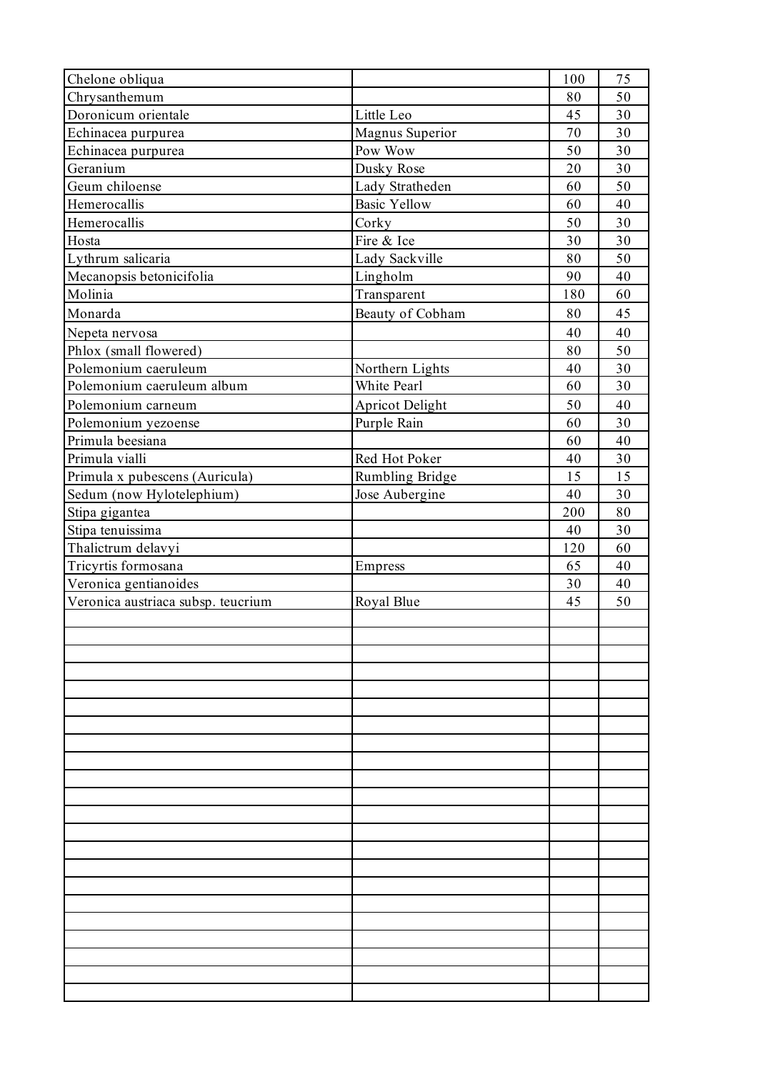| Chelone obliqua                    |                        | 100 | 75 |
|------------------------------------|------------------------|-----|----|
| Chrysanthemum                      |                        | 80  | 50 |
| Doronicum orientale                | Little Leo             | 45  | 30 |
| Echinacea purpurea                 | Magnus Superior        | 70  | 30 |
| Echinacea purpurea                 | Pow Wow                | 50  | 30 |
| Geranium                           | Dusky Rose             | 20  | 30 |
| Geum chiloense                     | Lady Stratheden        | 60  | 50 |
| Hemerocallis                       | <b>Basic Yellow</b>    | 60  | 40 |
| Hemerocallis                       | Corky                  | 50  | 30 |
| Hosta                              | Fire & Ice             | 30  | 30 |
| Lythrum salicaria                  | Lady Sackville         | 80  | 50 |
| Mecanopsis betonicifolia           | Lingholm               | 90  | 40 |
| Molinia                            | Transparent            | 180 | 60 |
| Monarda                            | Beauty of Cobham       | 80  | 45 |
| Nepeta nervosa                     |                        | 40  | 40 |
| Phlox (small flowered)             |                        | 80  | 50 |
| Polemonium caeruleum               | Northern Lights        | 40  | 30 |
| Polemonium caeruleum album         | White Pearl            | 60  | 30 |
| Polemonium carneum                 | <b>Apricot Delight</b> | 50  | 40 |
| Polemonium yezoense                | Purple Rain            | 60  | 30 |
| Primula beesiana                   |                        | 60  | 40 |
| Primula vialli                     | Red Hot Poker          | 40  | 30 |
|                                    |                        | 15  | 15 |
| Primula x pubescens (Auricula)     | Rumbling Bridge        | 40  | 30 |
| Sedum (now Hylotelephium)          | Jose Aubergine         | 200 | 80 |
| Stipa gigantea                     |                        |     |    |
| Stipa tenuissima                   |                        | 40  | 30 |
| Thalictrum delavyi                 |                        | 120 | 60 |
| Tricyrtis formosana                | Empress                | 65  | 40 |
| Veronica gentianoides              |                        | 30  | 40 |
| Veronica austriaca subsp. teucrium | Royal Blue             | 45  | 50 |
|                                    |                        |     |    |
|                                    |                        |     |    |
|                                    |                        |     |    |
|                                    |                        |     |    |
|                                    |                        |     |    |
|                                    |                        |     |    |
|                                    |                        |     |    |
|                                    |                        |     |    |
|                                    |                        |     |    |
|                                    |                        |     |    |
|                                    |                        |     |    |
|                                    |                        |     |    |
|                                    |                        |     |    |
|                                    |                        |     |    |
|                                    |                        |     |    |
|                                    |                        |     |    |
|                                    |                        |     |    |
|                                    |                        |     |    |
|                                    |                        |     |    |
|                                    |                        |     |    |
|                                    |                        |     |    |
|                                    |                        |     |    |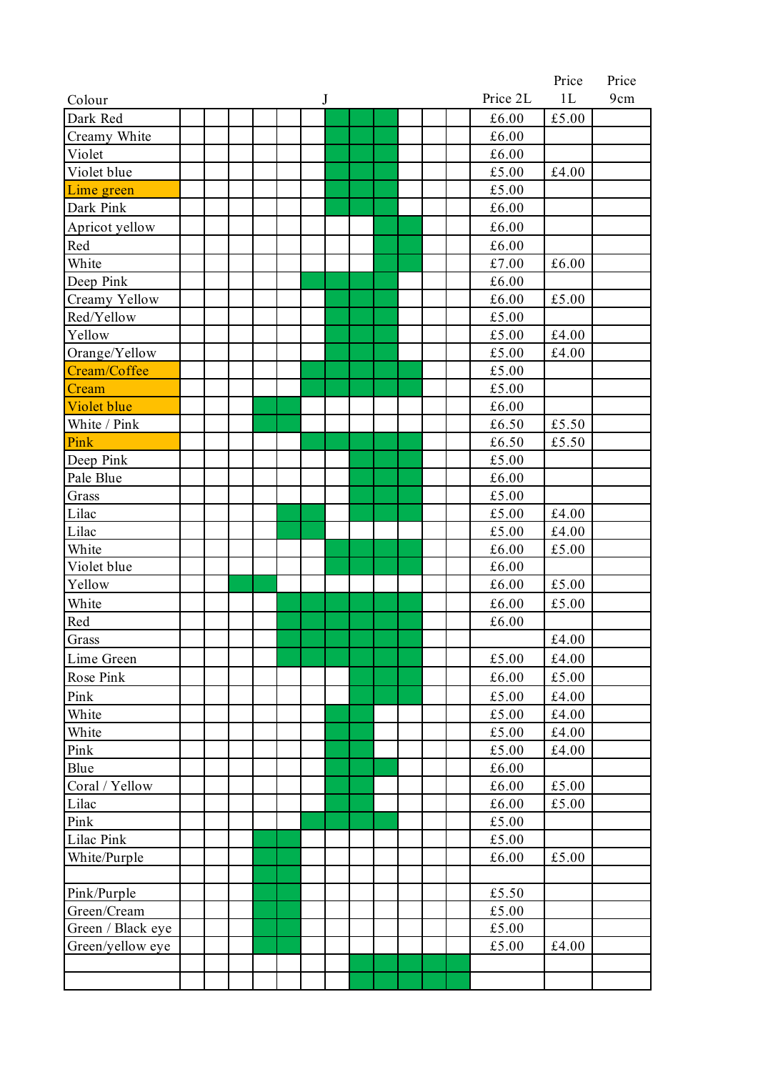|                   |  |  |  |   |  |  |          | Price         | Price |
|-------------------|--|--|--|---|--|--|----------|---------------|-------|
| Colour            |  |  |  | J |  |  | Price 2L | 1L            | 9cm   |
| Dark Red          |  |  |  |   |  |  | £6.00    | £5.00         |       |
| Creamy White      |  |  |  |   |  |  | £6.00    |               |       |
| Violet            |  |  |  |   |  |  | £6.00    |               |       |
| Violet blue       |  |  |  |   |  |  | £5.00    | $\pounds4.00$ |       |
| Lime green        |  |  |  |   |  |  | £5.00    |               |       |
| Dark Pink         |  |  |  |   |  |  | £6.00    |               |       |
| Apricot yellow    |  |  |  |   |  |  | £6.00    |               |       |
| Red               |  |  |  |   |  |  | £6.00    |               |       |
| White             |  |  |  |   |  |  | £7.00    | £6.00         |       |
| Deep Pink         |  |  |  |   |  |  | £6.00    |               |       |
| Creamy Yellow     |  |  |  |   |  |  | £6.00    | £5.00         |       |
| Red/Yellow        |  |  |  |   |  |  | £5.00    |               |       |
| Yellow            |  |  |  |   |  |  | £5.00    | £4.00         |       |
| Orange/Yellow     |  |  |  |   |  |  | £5.00    | £4.00         |       |
| Cream/Coffee      |  |  |  |   |  |  | £5.00    |               |       |
| Cream             |  |  |  |   |  |  | £5.00    |               |       |
| Violet blue       |  |  |  |   |  |  | £6.00    |               |       |
| White / Pink      |  |  |  |   |  |  | £6.50    | £5.50         |       |
| Pink              |  |  |  |   |  |  | £6.50    | £5.50         |       |
| Deep Pink         |  |  |  |   |  |  | £5.00    |               |       |
| Pale Blue         |  |  |  |   |  |  | £6.00    |               |       |
| Grass             |  |  |  |   |  |  | £5.00    |               |       |
| Lilac             |  |  |  |   |  |  | £5.00    | £4.00         |       |
| Lilac             |  |  |  |   |  |  | £5.00    | £4.00         |       |
| White             |  |  |  |   |  |  | £6.00    | £5.00         |       |
| Violet blue       |  |  |  |   |  |  | £6.00    |               |       |
| Yellow            |  |  |  |   |  |  | £6.00    | £5.00         |       |
| White             |  |  |  |   |  |  | £6.00    | £5.00         |       |
| Red               |  |  |  |   |  |  | £6.00    |               |       |
| Grass             |  |  |  |   |  |  |          | £4.00         |       |
| Lime Green        |  |  |  |   |  |  | £5.00    | £4.00         |       |
| Rose Pink         |  |  |  |   |  |  | £6.00    | £5.00         |       |
| Pink              |  |  |  |   |  |  | £5.00    | £4.00         |       |
| White             |  |  |  |   |  |  | £5.00    | £4.00         |       |
| White             |  |  |  |   |  |  | £5.00    | £4.00         |       |
| Pink              |  |  |  |   |  |  | £5.00    | £4.00         |       |
| Blue              |  |  |  |   |  |  | £6.00    |               |       |
| Coral / Yellow    |  |  |  |   |  |  | £6.00    | £5.00         |       |
| Lilac             |  |  |  |   |  |  | £6.00    | £5.00         |       |
| Pink              |  |  |  |   |  |  | £5.00    |               |       |
| Lilac Pink        |  |  |  |   |  |  | £5.00    |               |       |
| White/Purple      |  |  |  |   |  |  | £6.00    | £5.00         |       |
|                   |  |  |  |   |  |  |          |               |       |
| Pink/Purple       |  |  |  |   |  |  | £5.50    |               |       |
| Green/Cream       |  |  |  |   |  |  | £5.00    |               |       |
| Green / Black eye |  |  |  |   |  |  | £5.00    |               |       |
| Green/yellow eye  |  |  |  |   |  |  | £5.00    | £4.00         |       |
|                   |  |  |  |   |  |  |          |               |       |
|                   |  |  |  |   |  |  |          |               |       |
|                   |  |  |  |   |  |  |          |               |       |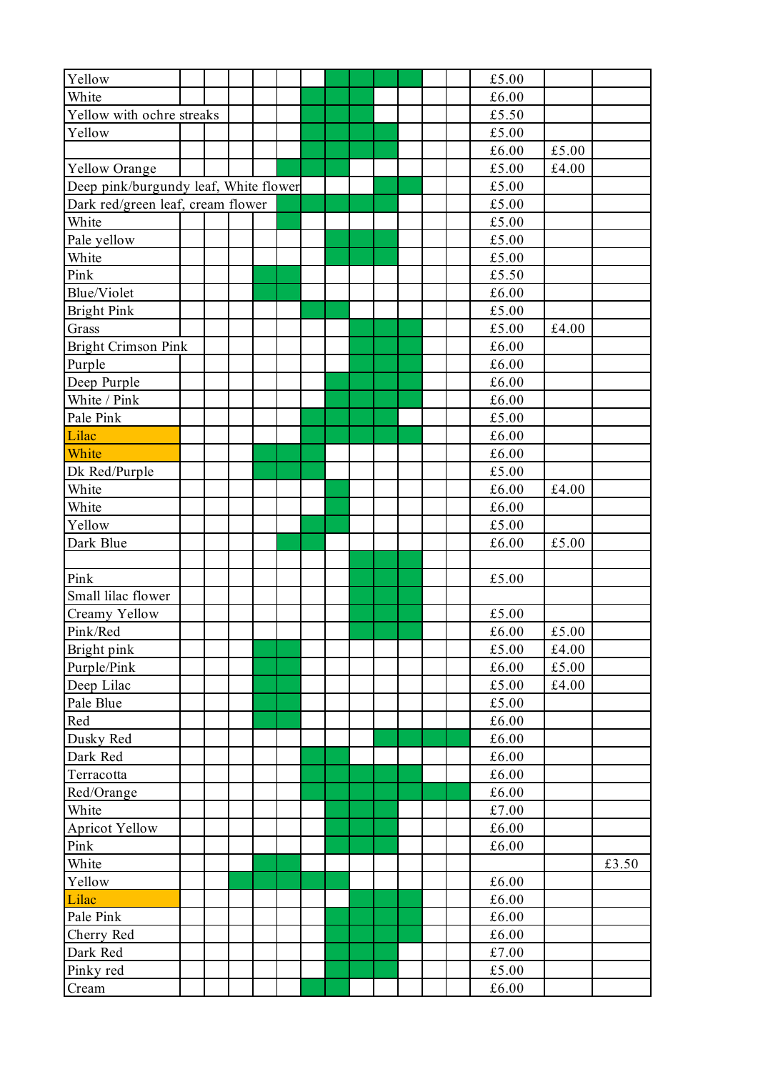| White<br>£6.00<br>Yellow with ochre streaks<br>£5.50<br>Yellow<br>£5.00<br>£6.00<br>£5.00<br>£5.00<br>£4.00<br>Yellow Orange<br>Deep pink/burgundy leaf, White flower<br>$\pounds5.00$<br>£5.00<br>Dark red/green leaf, cream flower<br>White<br>£5.00<br>Pale yellow<br>£5.00<br>White<br>£5.00<br>Pink<br>£5.50<br>Blue/Violet<br>£6.00<br>£5.00<br><b>Bright Pink</b><br>£5.00<br>£4.00<br>Grass<br><b>Bright Crimson Pink</b><br>£6.00<br>Purple<br>£6.00<br>Deep Purple<br>£6.00<br>White / Pink<br>£6.00<br>£5.00<br>Pale Pink<br>Lilac<br>£6.00<br>White<br>£6.00<br>£5.00<br>Dk Red/Purple<br>White<br>£6.00<br>£4.00<br>White<br>£6.00<br>£5.00<br>Yellow<br>£5.00<br>Dark Blue<br>£6.00<br>Pink<br>£5.00<br>Small lilac flower<br>Creamy Yellow<br>£5.00<br>Pink/Red<br>£6.00<br>£5.00<br>£5.00<br>£4.00<br>Bright pink<br>Purple/Pink<br>£6.00<br>£5.00<br>£5.00<br>Deep Lilac<br>£4.00<br>£5.00<br>Pale Blue<br>Red<br>£6.00<br>Dusky Red<br>£6.00<br>£6.00<br>Dark Red<br>Terracotta<br>£6.00<br>£6.00<br>Red/Orange<br>£7.00<br>White<br><b>Apricot Yellow</b><br>£6.00<br>Pink<br>£6.00<br>White<br>£3.50<br>Yellow<br>£6.00<br>Lilac<br>£6.00<br>Pale Pink<br>£6.00<br>Cherry Red<br>£6.00<br>£7.00<br>Dark Red<br>Pinky red<br>£5.00 | Yellow |  |  |  |  |  |  | £5.00 |  |
|-------------------------------------------------------------------------------------------------------------------------------------------------------------------------------------------------------------------------------------------------------------------------------------------------------------------------------------------------------------------------------------------------------------------------------------------------------------------------------------------------------------------------------------------------------------------------------------------------------------------------------------------------------------------------------------------------------------------------------------------------------------------------------------------------------------------------------------------------------------------------------------------------------------------------------------------------------------------------------------------------------------------------------------------------------------------------------------------------------------------------------------------------------------------------------------------------------------------------------------------------------|--------|--|--|--|--|--|--|-------|--|
|                                                                                                                                                                                                                                                                                                                                                                                                                                                                                                                                                                                                                                                                                                                                                                                                                                                                                                                                                                                                                                                                                                                                                                                                                                                       |        |  |  |  |  |  |  |       |  |
|                                                                                                                                                                                                                                                                                                                                                                                                                                                                                                                                                                                                                                                                                                                                                                                                                                                                                                                                                                                                                                                                                                                                                                                                                                                       |        |  |  |  |  |  |  |       |  |
|                                                                                                                                                                                                                                                                                                                                                                                                                                                                                                                                                                                                                                                                                                                                                                                                                                                                                                                                                                                                                                                                                                                                                                                                                                                       |        |  |  |  |  |  |  |       |  |
|                                                                                                                                                                                                                                                                                                                                                                                                                                                                                                                                                                                                                                                                                                                                                                                                                                                                                                                                                                                                                                                                                                                                                                                                                                                       |        |  |  |  |  |  |  |       |  |
|                                                                                                                                                                                                                                                                                                                                                                                                                                                                                                                                                                                                                                                                                                                                                                                                                                                                                                                                                                                                                                                                                                                                                                                                                                                       |        |  |  |  |  |  |  |       |  |
|                                                                                                                                                                                                                                                                                                                                                                                                                                                                                                                                                                                                                                                                                                                                                                                                                                                                                                                                                                                                                                                                                                                                                                                                                                                       |        |  |  |  |  |  |  |       |  |
|                                                                                                                                                                                                                                                                                                                                                                                                                                                                                                                                                                                                                                                                                                                                                                                                                                                                                                                                                                                                                                                                                                                                                                                                                                                       |        |  |  |  |  |  |  |       |  |
|                                                                                                                                                                                                                                                                                                                                                                                                                                                                                                                                                                                                                                                                                                                                                                                                                                                                                                                                                                                                                                                                                                                                                                                                                                                       |        |  |  |  |  |  |  |       |  |
|                                                                                                                                                                                                                                                                                                                                                                                                                                                                                                                                                                                                                                                                                                                                                                                                                                                                                                                                                                                                                                                                                                                                                                                                                                                       |        |  |  |  |  |  |  |       |  |
|                                                                                                                                                                                                                                                                                                                                                                                                                                                                                                                                                                                                                                                                                                                                                                                                                                                                                                                                                                                                                                                                                                                                                                                                                                                       |        |  |  |  |  |  |  |       |  |
|                                                                                                                                                                                                                                                                                                                                                                                                                                                                                                                                                                                                                                                                                                                                                                                                                                                                                                                                                                                                                                                                                                                                                                                                                                                       |        |  |  |  |  |  |  |       |  |
|                                                                                                                                                                                                                                                                                                                                                                                                                                                                                                                                                                                                                                                                                                                                                                                                                                                                                                                                                                                                                                                                                                                                                                                                                                                       |        |  |  |  |  |  |  |       |  |
|                                                                                                                                                                                                                                                                                                                                                                                                                                                                                                                                                                                                                                                                                                                                                                                                                                                                                                                                                                                                                                                                                                                                                                                                                                                       |        |  |  |  |  |  |  |       |  |
|                                                                                                                                                                                                                                                                                                                                                                                                                                                                                                                                                                                                                                                                                                                                                                                                                                                                                                                                                                                                                                                                                                                                                                                                                                                       |        |  |  |  |  |  |  |       |  |
|                                                                                                                                                                                                                                                                                                                                                                                                                                                                                                                                                                                                                                                                                                                                                                                                                                                                                                                                                                                                                                                                                                                                                                                                                                                       |        |  |  |  |  |  |  |       |  |
|                                                                                                                                                                                                                                                                                                                                                                                                                                                                                                                                                                                                                                                                                                                                                                                                                                                                                                                                                                                                                                                                                                                                                                                                                                                       |        |  |  |  |  |  |  |       |  |
|                                                                                                                                                                                                                                                                                                                                                                                                                                                                                                                                                                                                                                                                                                                                                                                                                                                                                                                                                                                                                                                                                                                                                                                                                                                       |        |  |  |  |  |  |  |       |  |
|                                                                                                                                                                                                                                                                                                                                                                                                                                                                                                                                                                                                                                                                                                                                                                                                                                                                                                                                                                                                                                                                                                                                                                                                                                                       |        |  |  |  |  |  |  |       |  |
|                                                                                                                                                                                                                                                                                                                                                                                                                                                                                                                                                                                                                                                                                                                                                                                                                                                                                                                                                                                                                                                                                                                                                                                                                                                       |        |  |  |  |  |  |  |       |  |
|                                                                                                                                                                                                                                                                                                                                                                                                                                                                                                                                                                                                                                                                                                                                                                                                                                                                                                                                                                                                                                                                                                                                                                                                                                                       |        |  |  |  |  |  |  |       |  |
|                                                                                                                                                                                                                                                                                                                                                                                                                                                                                                                                                                                                                                                                                                                                                                                                                                                                                                                                                                                                                                                                                                                                                                                                                                                       |        |  |  |  |  |  |  |       |  |
|                                                                                                                                                                                                                                                                                                                                                                                                                                                                                                                                                                                                                                                                                                                                                                                                                                                                                                                                                                                                                                                                                                                                                                                                                                                       |        |  |  |  |  |  |  |       |  |
|                                                                                                                                                                                                                                                                                                                                                                                                                                                                                                                                                                                                                                                                                                                                                                                                                                                                                                                                                                                                                                                                                                                                                                                                                                                       |        |  |  |  |  |  |  |       |  |
|                                                                                                                                                                                                                                                                                                                                                                                                                                                                                                                                                                                                                                                                                                                                                                                                                                                                                                                                                                                                                                                                                                                                                                                                                                                       |        |  |  |  |  |  |  |       |  |
|                                                                                                                                                                                                                                                                                                                                                                                                                                                                                                                                                                                                                                                                                                                                                                                                                                                                                                                                                                                                                                                                                                                                                                                                                                                       |        |  |  |  |  |  |  |       |  |
|                                                                                                                                                                                                                                                                                                                                                                                                                                                                                                                                                                                                                                                                                                                                                                                                                                                                                                                                                                                                                                                                                                                                                                                                                                                       |        |  |  |  |  |  |  |       |  |
|                                                                                                                                                                                                                                                                                                                                                                                                                                                                                                                                                                                                                                                                                                                                                                                                                                                                                                                                                                                                                                                                                                                                                                                                                                                       |        |  |  |  |  |  |  |       |  |
|                                                                                                                                                                                                                                                                                                                                                                                                                                                                                                                                                                                                                                                                                                                                                                                                                                                                                                                                                                                                                                                                                                                                                                                                                                                       |        |  |  |  |  |  |  |       |  |
|                                                                                                                                                                                                                                                                                                                                                                                                                                                                                                                                                                                                                                                                                                                                                                                                                                                                                                                                                                                                                                                                                                                                                                                                                                                       |        |  |  |  |  |  |  |       |  |
|                                                                                                                                                                                                                                                                                                                                                                                                                                                                                                                                                                                                                                                                                                                                                                                                                                                                                                                                                                                                                                                                                                                                                                                                                                                       |        |  |  |  |  |  |  |       |  |
|                                                                                                                                                                                                                                                                                                                                                                                                                                                                                                                                                                                                                                                                                                                                                                                                                                                                                                                                                                                                                                                                                                                                                                                                                                                       |        |  |  |  |  |  |  |       |  |
|                                                                                                                                                                                                                                                                                                                                                                                                                                                                                                                                                                                                                                                                                                                                                                                                                                                                                                                                                                                                                                                                                                                                                                                                                                                       |        |  |  |  |  |  |  |       |  |
|                                                                                                                                                                                                                                                                                                                                                                                                                                                                                                                                                                                                                                                                                                                                                                                                                                                                                                                                                                                                                                                                                                                                                                                                                                                       |        |  |  |  |  |  |  |       |  |
|                                                                                                                                                                                                                                                                                                                                                                                                                                                                                                                                                                                                                                                                                                                                                                                                                                                                                                                                                                                                                                                                                                                                                                                                                                                       |        |  |  |  |  |  |  |       |  |
|                                                                                                                                                                                                                                                                                                                                                                                                                                                                                                                                                                                                                                                                                                                                                                                                                                                                                                                                                                                                                                                                                                                                                                                                                                                       |        |  |  |  |  |  |  |       |  |
|                                                                                                                                                                                                                                                                                                                                                                                                                                                                                                                                                                                                                                                                                                                                                                                                                                                                                                                                                                                                                                                                                                                                                                                                                                                       |        |  |  |  |  |  |  |       |  |
|                                                                                                                                                                                                                                                                                                                                                                                                                                                                                                                                                                                                                                                                                                                                                                                                                                                                                                                                                                                                                                                                                                                                                                                                                                                       |        |  |  |  |  |  |  |       |  |
|                                                                                                                                                                                                                                                                                                                                                                                                                                                                                                                                                                                                                                                                                                                                                                                                                                                                                                                                                                                                                                                                                                                                                                                                                                                       |        |  |  |  |  |  |  |       |  |
|                                                                                                                                                                                                                                                                                                                                                                                                                                                                                                                                                                                                                                                                                                                                                                                                                                                                                                                                                                                                                                                                                                                                                                                                                                                       |        |  |  |  |  |  |  |       |  |
|                                                                                                                                                                                                                                                                                                                                                                                                                                                                                                                                                                                                                                                                                                                                                                                                                                                                                                                                                                                                                                                                                                                                                                                                                                                       |        |  |  |  |  |  |  |       |  |
|                                                                                                                                                                                                                                                                                                                                                                                                                                                                                                                                                                                                                                                                                                                                                                                                                                                                                                                                                                                                                                                                                                                                                                                                                                                       |        |  |  |  |  |  |  |       |  |
|                                                                                                                                                                                                                                                                                                                                                                                                                                                                                                                                                                                                                                                                                                                                                                                                                                                                                                                                                                                                                                                                                                                                                                                                                                                       |        |  |  |  |  |  |  |       |  |
|                                                                                                                                                                                                                                                                                                                                                                                                                                                                                                                                                                                                                                                                                                                                                                                                                                                                                                                                                                                                                                                                                                                                                                                                                                                       |        |  |  |  |  |  |  |       |  |
|                                                                                                                                                                                                                                                                                                                                                                                                                                                                                                                                                                                                                                                                                                                                                                                                                                                                                                                                                                                                                                                                                                                                                                                                                                                       |        |  |  |  |  |  |  |       |  |
|                                                                                                                                                                                                                                                                                                                                                                                                                                                                                                                                                                                                                                                                                                                                                                                                                                                                                                                                                                                                                                                                                                                                                                                                                                                       |        |  |  |  |  |  |  |       |  |
|                                                                                                                                                                                                                                                                                                                                                                                                                                                                                                                                                                                                                                                                                                                                                                                                                                                                                                                                                                                                                                                                                                                                                                                                                                                       |        |  |  |  |  |  |  |       |  |
|                                                                                                                                                                                                                                                                                                                                                                                                                                                                                                                                                                                                                                                                                                                                                                                                                                                                                                                                                                                                                                                                                                                                                                                                                                                       |        |  |  |  |  |  |  |       |  |
|                                                                                                                                                                                                                                                                                                                                                                                                                                                                                                                                                                                                                                                                                                                                                                                                                                                                                                                                                                                                                                                                                                                                                                                                                                                       |        |  |  |  |  |  |  |       |  |
|                                                                                                                                                                                                                                                                                                                                                                                                                                                                                                                                                                                                                                                                                                                                                                                                                                                                                                                                                                                                                                                                                                                                                                                                                                                       |        |  |  |  |  |  |  |       |  |
|                                                                                                                                                                                                                                                                                                                                                                                                                                                                                                                                                                                                                                                                                                                                                                                                                                                                                                                                                                                                                                                                                                                                                                                                                                                       |        |  |  |  |  |  |  |       |  |
|                                                                                                                                                                                                                                                                                                                                                                                                                                                                                                                                                                                                                                                                                                                                                                                                                                                                                                                                                                                                                                                                                                                                                                                                                                                       | Cream  |  |  |  |  |  |  | £6.00 |  |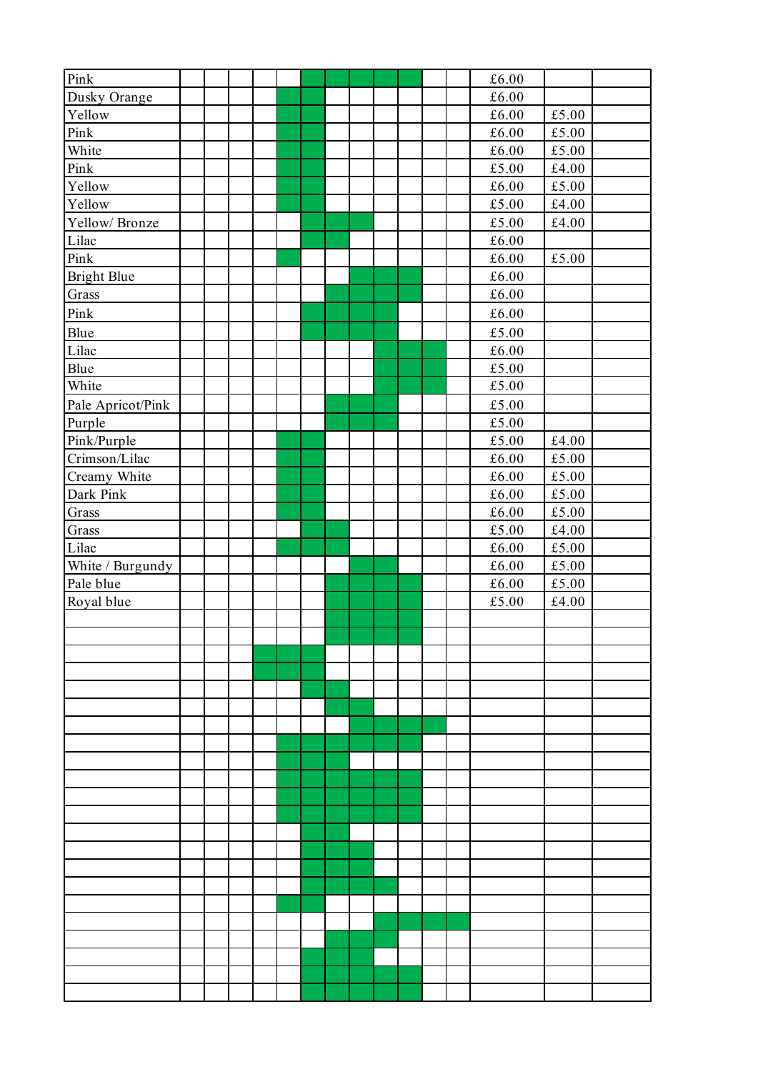| Pink               |  |  |  |  |  |  | £6.00         |               |  |
|--------------------|--|--|--|--|--|--|---------------|---------------|--|
| Dusky Orange       |  |  |  |  |  |  | £6.00         |               |  |
| Yellow             |  |  |  |  |  |  | £6.00         | $\pounds5.00$ |  |
| Pink               |  |  |  |  |  |  | £6.00         | £5.00         |  |
| White              |  |  |  |  |  |  | £6.00         | £5.00         |  |
| Pink               |  |  |  |  |  |  | $\pounds5.00$ | $\pounds4.00$ |  |
| Yellow             |  |  |  |  |  |  | £6.00         | $\pounds5.00$ |  |
| Yellow             |  |  |  |  |  |  | £5.00         | £4.00         |  |
| Yellow/Bronze      |  |  |  |  |  |  | $\pounds5.00$ | $\pounds4.00$ |  |
| Lilac              |  |  |  |  |  |  | $\pounds6.00$ |               |  |
| Pink               |  |  |  |  |  |  | £6.00         | $\pounds5.00$ |  |
| <b>Bright Blue</b> |  |  |  |  |  |  | £6.00         |               |  |
| Grass              |  |  |  |  |  |  | £6.00         |               |  |
| Pink               |  |  |  |  |  |  | £6.00         |               |  |
| Blue               |  |  |  |  |  |  | £5.00         |               |  |
| Lilac              |  |  |  |  |  |  | $\pounds6.00$ |               |  |
| Blue               |  |  |  |  |  |  | $\pounds5.00$ |               |  |
| White              |  |  |  |  |  |  | $\pounds5.00$ |               |  |
| Pale Apricot/Pink  |  |  |  |  |  |  | £5.00         |               |  |
| Purple             |  |  |  |  |  |  | $\pounds5.00$ |               |  |
| Pink/Purple        |  |  |  |  |  |  | $\pounds5.00$ | £4.00         |  |
| Crimson/Lilac      |  |  |  |  |  |  | £6.00         | $\pounds5.00$ |  |
| Creamy White       |  |  |  |  |  |  | £6.00         | $\pounds5.00$ |  |
| Dark Pink          |  |  |  |  |  |  | $\pounds6.00$ | $\pounds5.00$ |  |
| Grass              |  |  |  |  |  |  | £6.00         | $\pounds5.00$ |  |
| Grass              |  |  |  |  |  |  | £5.00         | $\pounds4.00$ |  |
| Lilac              |  |  |  |  |  |  | $\pounds6.00$ | $\pounds5.00$ |  |
| White / Burgundy   |  |  |  |  |  |  | £6.00         | $\pounds5.00$ |  |
| Pale blue          |  |  |  |  |  |  | £6.00         | £5.00         |  |
| Royal blue         |  |  |  |  |  |  | $\pounds5.00$ | $\pounds4.00$ |  |
|                    |  |  |  |  |  |  |               |               |  |
|                    |  |  |  |  |  |  |               |               |  |
|                    |  |  |  |  |  |  |               |               |  |
|                    |  |  |  |  |  |  |               |               |  |
|                    |  |  |  |  |  |  |               |               |  |
|                    |  |  |  |  |  |  |               |               |  |
|                    |  |  |  |  |  |  |               |               |  |
|                    |  |  |  |  |  |  |               |               |  |
|                    |  |  |  |  |  |  |               |               |  |
|                    |  |  |  |  |  |  |               |               |  |
|                    |  |  |  |  |  |  |               |               |  |
|                    |  |  |  |  |  |  |               |               |  |
|                    |  |  |  |  |  |  |               |               |  |
|                    |  |  |  |  |  |  |               |               |  |
|                    |  |  |  |  |  |  |               |               |  |
|                    |  |  |  |  |  |  |               |               |  |
|                    |  |  |  |  |  |  |               |               |  |
|                    |  |  |  |  |  |  |               |               |  |
|                    |  |  |  |  |  |  |               |               |  |
|                    |  |  |  |  |  |  |               |               |  |
|                    |  |  |  |  |  |  |               |               |  |
|                    |  |  |  |  |  |  |               |               |  |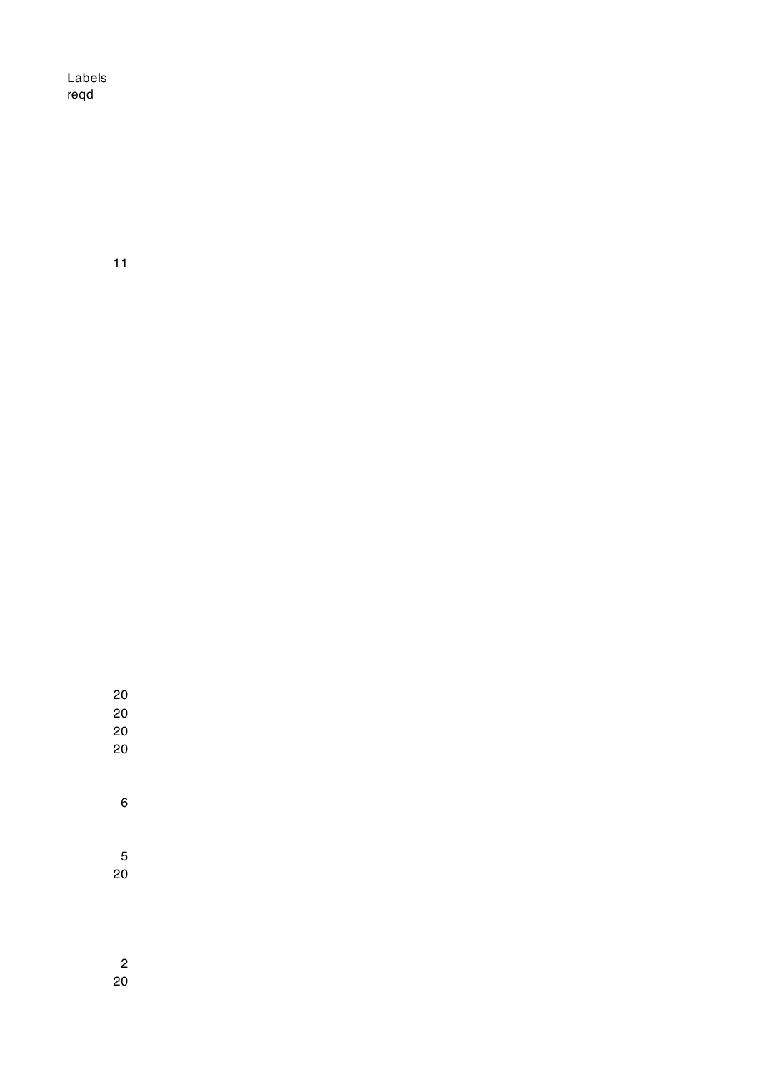Labels reqd